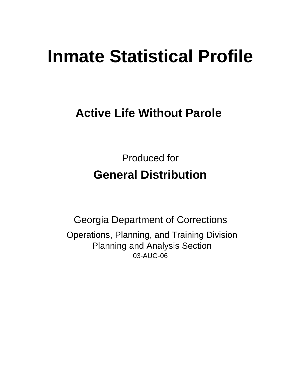# **Inmate Statistical Profile**

## **Active Life Without Parole**

Produced for **General Distribution**

03-AUG-06 Georgia Department of Corrections Operations, Planning, and Training Division Planning and Analysis Section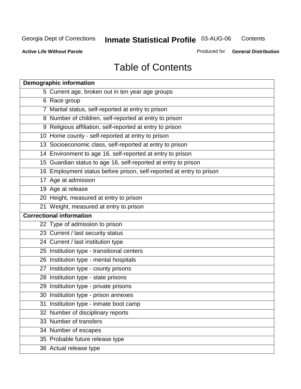**Contents** 

**Active Life Without Parole** 

Produced for **General Distribution**

## Table of Contents

| <b>Demographic information</b>                                       |
|----------------------------------------------------------------------|
| 5 Current age, broken out in ten year age groups                     |
| 6 Race group                                                         |
| 7 Marital status, self-reported at entry to prison                   |
| 8 Number of children, self-reported at entry to prison               |
| 9 Religious affiliation, self-reported at entry to prison            |
| 10 Home county - self-reported at entry to prison                    |
| 13 Socioeconomic class, self-reported at entry to prison             |
| 14 Environment to age 16, self-reported at entry to prison           |
| 15 Guardian status to age 16, self-reported at entry to prison       |
| 16 Employment status before prison, self-reported at entry to prison |
| 17 Age at admission                                                  |
| 19 Age at release                                                    |
| 20 Height, measured at entry to prison                               |
| 21 Weight, measured at entry to prison                               |
| <b>Correctional information</b>                                      |
| 22 Type of admission to prison                                       |
| 23 Current / last security status                                    |
| 24 Current / last institution type                                   |
| 25 Institution type - transitional centers                           |
| 26 Institution type - mental hospitals                               |
| 27 Institution type - county prisons                                 |
| 28 Institution type - state prisons                                  |
| 29 Institution type - private prisons                                |
| 30 Institution type - prison annexes                                 |
| 31 Institution type - inmate boot camp                               |
| 32 Number of disciplinary reports                                    |
| 33 Number of transfers                                               |
| 34 Number of escapes                                                 |
| 35 Probable future release type                                      |
| 36 Actual release type                                               |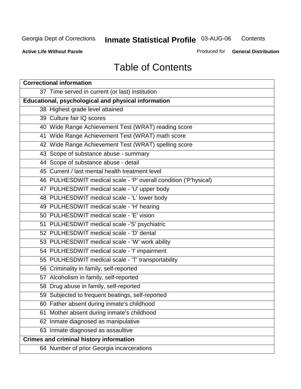**Contents** 

**Active Life Without Parole** 

Produced for **General Distribution**

## Table of Contents

| <b>Correctional information</b>                                  |
|------------------------------------------------------------------|
| 37 Time served in current (or last) institution                  |
| Educational, psychological and physical information              |
| 38 Highest grade level attained                                  |
| 39 Culture fair IQ scores                                        |
| 40 Wide Range Achievement Test (WRAT) reading score              |
| 41 Wide Range Achievement Test (WRAT) math score                 |
| 42 Wide Range Achievement Test (WRAT) spelling score             |
| 43 Scope of substance abuse - summary                            |
| 44 Scope of substance abuse - detail                             |
| 45 Current / last mental health treatment level                  |
| 46 PULHESDWIT medical scale - 'P' overall condition ('P'hysical) |
| 47 PULHESDWIT medical scale - 'U' upper body                     |
| 48 PULHESDWIT medical scale - 'L' lower body                     |
| 49 PULHESDWIT medical scale - 'H' hearing                        |
| 50 PULHESDWIT medical scale - 'E' vision                         |
| 51 PULHESDWIT medical scale -'S' psychiatric                     |
| 52 PULHESDWIT medical scale - 'D' dental                         |
| 53 PULHESDWIT medical scale - 'W' work ability                   |
| 54 PULHESDWIT medical scale - 'I' impairment                     |
| 55 PULHESDWIT medical scale - 'T' transportability               |
| 56 Criminality in family, self-reported                          |
| 57 Alcoholism in family, self-reported                           |
| 58 Drug abuse in family, self-reported                           |
| 59 Subjected to frequent beatings, self-reported                 |
| 60 Father absent during inmate's childhood                       |
| Mother absent during inmate's childhood<br>61                    |
| 62 Inmate diagnosed as manipulative                              |
| 63 Inmate diagnosed as assaultive                                |
| <b>Crimes and criminal history information</b>                   |
| 64 Number of prior Georgia incarcerations                        |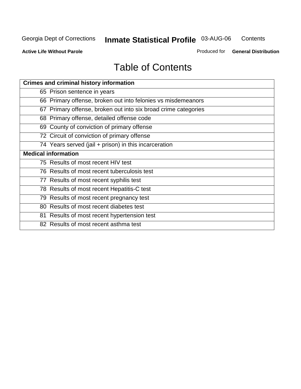**Contents** 

**Active Life Without Parole** 

Produced for **General Distribution**

## Table of Contents

| <b>Crimes and criminal history information</b>                 |
|----------------------------------------------------------------|
| 65 Prison sentence in years                                    |
| 66 Primary offense, broken out into felonies vs misdemeanors   |
| 67 Primary offense, broken out into six broad crime categories |
| 68 Primary offense, detailed offense code                      |
| 69 County of conviction of primary offense                     |
| 72 Circuit of conviction of primary offense                    |
| 74 Years served (jail + prison) in this incarceration          |
| <b>Medical information</b>                                     |
| 75 Results of most recent HIV test                             |
| 76 Results of most recent tuberculosis test                    |
| 77 Results of most recent syphilis test                        |
| 78 Results of most recent Hepatitis-C test                     |
| 79 Results of most recent pregnancy test                       |
| 80 Results of most recent diabetes test                        |
| 81 Results of most recent hypertension test                    |
| 82 Results of most recent asthma test                          |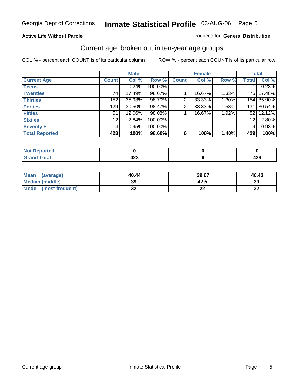#### **Active Life Without Parole**

#### Produced for **General Distribution**

#### Current age, broken out in ten-year age groups

|                       |              | <b>Male</b> |         |              | <b>Female</b> |       |                 | <b>Total</b> |
|-----------------------|--------------|-------------|---------|--------------|---------------|-------|-----------------|--------------|
| <b>Current Age</b>    | <b>Count</b> | Col %       | Row %   | <b>Count</b> | Col %         | Row % | <b>Total</b>    | Col %        |
| <b>Teens</b>          |              | 0.24%       | 100.00% |              |               |       |                 | 0.23%        |
| <b>Twenties</b>       | 74           | 17.49%      | 98.67%  |              | 16.67%        | 1.33% | 75 I            | 17.48%       |
| <b>Thirties</b>       | 152          | 35.93%      | 98.70%  | 2            | 33.33%        | 1.30% |                 | 154 35.90%   |
| <b>Forties</b>        | 129          | $30.50\%$   | 98.47%  | 2            | 33.33%        | 1.53% | 131             | 30.54%       |
| <b>Fifties</b>        | 51           | 12.06%      | 98.08%  |              | 16.67%        | 1.92% | 52 <sub>1</sub> | 12.12%       |
| <b>Sixties</b>        | 12           | 2.84%       | 100.00% |              |               |       | 12              | 2.80%        |
| Seventy +             | 4            | 0.95%       | 100.00% |              |               |       | 4               | 0.93%        |
| <b>Total Reported</b> | 423          | 100%        | 98.60%  | 6            | 100%          | 1.40% | 429             | 100%         |

| <b>Exercised</b><br>kepor<br>. |                   |     |
|--------------------------------|-------------------|-----|
| <b>Total</b><br>Cron<br>$\sim$ | ,,,<br>. .<br>9∠J | 443 |

| <b>Mean</b><br>(average) | 40.44   | 39.67                         | 40.43    |
|--------------------------|---------|-------------------------------|----------|
| Median (middle)          | 39      | 42.5                          | 39       |
| Mode<br>(most frequent)  | …<br>◡▴ | $\overline{\phantom{a}}$<br>⊷ | n,<br>JZ |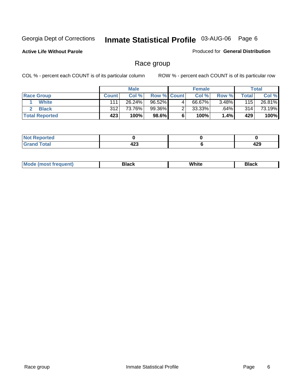**Active Life Without Parole** 

Produced for **General Distribution**

#### Race group

|                       |              | <b>Male</b> |                    |   | <b>Female</b> |          |                  | <b>Total</b> |
|-----------------------|--------------|-------------|--------------------|---|---------------|----------|------------------|--------------|
| <b>Race Group</b>     | <b>Count</b> | Col %       | <b>Row % Count</b> |   | Col %         | Row %    | Total            | Col %        |
| <b>White</b>          | 111          | 26.24%      | 96.52%             | 4 | 66.67%        | $3.48\%$ | 115              | 26.81%       |
| <b>Black</b>          | 312          | 73.76%      | 99.36%             |   | $33.33\%$     | .64%     | 314 <sub>1</sub> | 73.19%       |
| <b>Total Reported</b> | 423          | 100%        | 98.6%              |   | 100%          | 1.4%     | 429              | 100%         |

| 'eported<br>$\mathcal{L} = \mathcal{L} \mathcal{L}$ . |     |     |
|-------------------------------------------------------|-----|-----|
| $f$ of $a^{\dagger}$                                  | ,,, | 129 |
| _____                                                 | 443 | 423 |

| $^1$ Mo. | Rlack | White | 3lack |
|----------|-------|-------|-------|
| .        |       |       |       |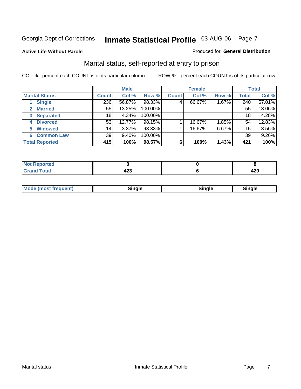#### **Active Life Without Parole**

#### Produced for **General Distribution**

#### Marital status, self-reported at entry to prison

|                        |              | <b>Male</b> |         |              | <b>Female</b> |       |              | <b>Total</b> |
|------------------------|--------------|-------------|---------|--------------|---------------|-------|--------------|--------------|
| <b>Marital Status</b>  | <b>Count</b> | Col %       | Row %   | <b>Count</b> | Col %         | Row % | <b>Total</b> | Col %        |
| <b>Single</b>          | 236          | 56.87%      | 98.33%  | 4            | 66.67%        | 1.67% | 240          | 57.01%       |
| <b>Married</b><br>2.   | 55           | 13.25%      | 100.00% |              |               |       | 55           | 13.06%       |
| <b>Separated</b><br>3  | 18           | 4.34%       | 100.00% |              |               |       | 18           | 4.28%        |
| <b>Divorced</b><br>4   | 53           | 12.77%      | 98.15%  |              | 16.67%        | 1.85% | 54           | 12.83%       |
| <b>Widowed</b><br>5    | 14           | 3.37%       | 93.33%  |              | 16.67%        | 6.67% | 15           | 3.56%        |
| <b>Common Law</b><br>6 | 39           | $9.40\%$    | 100.00% |              |               |       | 39           | 9.26%        |
| <b>Total Reported</b>  | 415          | 100%        | 98.57%  | 6            | 100%          | 1.43% | 421          | 100%         |

| .<br>−∠J | .<br>ᅲᄼ |
|----------|---------|

| <b>Mode (most frequent)</b><br>Sinale<br>≒ınale |
|-------------------------------------------------|
|-------------------------------------------------|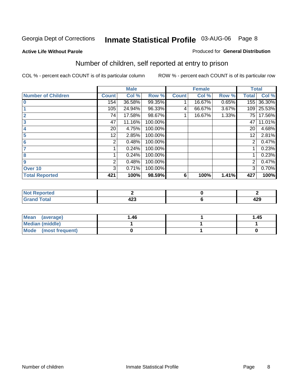#### **Active Life Without Parole**

#### Produced for **General Distribution**

## Number of children, self reported at entry to prison

|                           |              | <b>Male</b> |         |              | <b>Female</b> |       | <b>Total</b> |        |
|---------------------------|--------------|-------------|---------|--------------|---------------|-------|--------------|--------|
| <b>Number of Children</b> | <b>Count</b> | Col %       | Row %   | <b>Count</b> | Col %         | Row % | <b>Total</b> | Col %  |
| $\bf{0}$                  | 154          | 36.58%      | 99.35%  |              | 16.67%        | 0.65% | 155          | 36.30% |
|                           | 105          | 24.94%      | 96.33%  | 4            | 66.67%        | 3.67% | 109          | 25.53% |
| $\overline{2}$            | 74           | 17.58%      | 98.67%  |              | 16.67%        | 1.33% | 75 l         | 17.56% |
| 3                         | 47           | 11.16%      | 100.00% |              |               |       | 47           | 11.01% |
| 4                         | 20           | 4.75%       | 100.00% |              |               |       | 20           | 4.68%  |
| 5                         | 12.          | 2.85%       | 100.00% |              |               |       | 12           | 2.81%  |
| 6                         | 2            | 0.48%       | 100.00% |              |               |       | 2            | 0.47%  |
|                           |              | 0.24%       | 100.00% |              |               |       |              | 0.23%  |
| 8                         |              | 0.24%       | 100.00% |              |               |       |              | 0.23%  |
| 9                         | 2            | 0.48%       | 100.00% |              |               |       | 2            | 0.47%  |
| Over 10                   | 3            | 0.71%       | 100.00% |              |               |       | 3            | 0.70%  |
| <b>Total Reported</b>     | 421          | 100%        | 98.59%  | 6            | 100%          | 1.41% | 427          | 100%   |

| للمناسب<br>теа<br>N<br>. |        |            |
|--------------------------|--------|------------|
| $T = 4$<br>---<br>-      | ,<br>╍ | חמו<br>429 |

| <b>Mean</b><br>(average) | ،46. | 1.45 |
|--------------------------|------|------|
| Median (middle)          |      |      |
| Mode (most frequent)     |      |      |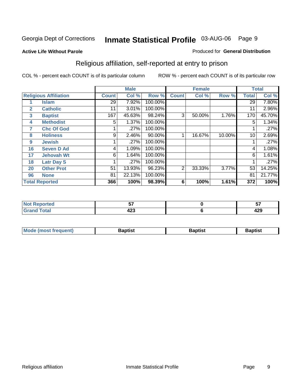#### **Active Life Without Parole**

#### Produced for **General Distribution**

## Religious affiliation, self-reported at entry to prison

|    |                              |              | <b>Male</b> |         |              | <b>Female</b> |        |              | <b>Total</b> |
|----|------------------------------|--------------|-------------|---------|--------------|---------------|--------|--------------|--------------|
|    | <b>Religious Affiliation</b> | <b>Count</b> | Col %       | Row %   | <b>Count</b> | Col %         | Row %  | <b>Total</b> | Col %        |
|    | <b>Islam</b>                 | 29           | 7.92%       | 100.00% |              |               |        | 29           | $7.80\%$     |
| 2  | <b>Catholic</b>              | 11           | 3.01%       | 100.00% |              |               |        | 11           | 2.96%        |
| 3  | <b>Baptist</b>               | 167          | 45.63%      | 98.24%  | 3            | 50.00%        | 1.76%  | 170          | 45.70%       |
| 4  | <b>Methodist</b>             | 5            | 1.37%       | 100.00% |              |               |        | 5            | 1.34%        |
| 7  | <b>Chc Of God</b>            |              | .27%        | 100.00% |              |               |        |              | .27%         |
| 8  | <b>Holiness</b>              | 9            | 2.46%       | 90.00%  |              | 16.67%        | 10.00% | 10           | 2.69%        |
| 9  | <b>Jewish</b>                |              | .27%        | 100.00% |              |               |        |              | .27%         |
| 16 | <b>Seven D Ad</b>            | 4            | 1.09%       | 100.00% |              |               |        | 4            | 1.08%        |
| 17 | <b>Jehovah Wt</b>            | 6            | 1.64%       | 100.00% |              |               |        | 6            | 1.61%        |
| 18 | <b>Latr Day S</b>            |              | .27%        | 100.00% |              |               |        |              | .27%         |
| 20 | <b>Other Prot</b>            | 51           | 13.93%      | 96.23%  | 2            | 33.33%        | 3.77%  | 53           | 14.25%       |
| 96 | <b>None</b>                  | 81           | 22.13%      | 100.00% |              |               |        | 81           | 21.77%       |
|    | <b>Total Reported</b>        | 366          | 100%        | 98.39%  | 6            | 100%          | 1.61%  | 372          | 100%         |

| <b>rted</b> | --       | --<br>     |
|-------------|----------|------------|
| <b>otal</b> | ,<br>−∠J | ה מ<br>443 |

| M<br>-------<br>. | 3aptist | Baptist | Raptis⊾ |
|-------------------|---------|---------|---------|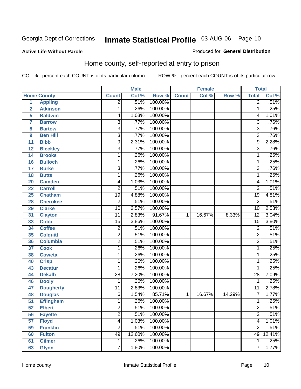#### **Active Life Without Parole**

#### Produced for **General Distribution**

#### Home county, self-reported at entry to prison

|                 |                    |                 | <b>Male</b> |         |              | <b>Female</b> |        | <b>Total</b>    |        |
|-----------------|--------------------|-----------------|-------------|---------|--------------|---------------|--------|-----------------|--------|
|                 | <b>Home County</b> | <b>Count</b>    | Col %       | Row %   | <b>Count</b> | Col %         | Row %  | <b>Total</b>    | Col %  |
| $\overline{1}$  | <b>Appling</b>     | $\overline{2}$  | .51%        | 100.00% |              |               |        | $\overline{2}$  | .51%   |
| $\overline{2}$  | <b>Atkinson</b>    | 1               | .26%        | 100.00% |              |               |        | 1               | .25%   |
| 5               | <b>Baldwin</b>     | 4               | 1.03%       | 100.00% |              |               |        | 4               | 1.01%  |
| 7               | <b>Barrow</b>      | $\overline{3}$  | .77%        | 100.00% |              |               |        | $\overline{3}$  | .76%   |
| 8               | <b>Bartow</b>      | $\overline{3}$  | .77%        | 100.00% |              |               |        | $\overline{3}$  | .76%   |
| 9               | <b>Ben Hill</b>    | $\overline{3}$  | .77%        | 100.00% |              |               |        | $\overline{3}$  | .76%   |
| $\overline{11}$ | <b>Bibb</b>        | $\overline{9}$  | 2.31%       | 100.00% |              |               |        | $\overline{9}$  | 2.28%  |
| 12              | <b>Bleckley</b>    | $\overline{3}$  | .77%        | 100.00% |              |               |        | $\overline{3}$  | .76%   |
| 14              | <b>Brooks</b>      | 1               | .26%        | 100.00% |              |               |        | $\mathbf 1$     | .25%   |
| 16              | <b>Bulloch</b>     | 1               | .26%        | 100.00% |              |               |        | 1               | .25%   |
| 17              | <b>Burke</b>       | $\overline{3}$  | .77%        | 100.00% |              |               |        | $\overline{3}$  | .76%   |
| 18              | <b>Butts</b>       | 1               | .26%        | 100.00% |              |               |        | 1               | .25%   |
| 20              | <b>Camden</b>      | 4               | 1.03%       | 100.00% |              |               |        | $\overline{4}$  | 1.01%  |
| 22              | <b>Carroll</b>     | $\overline{2}$  | .51%        | 100.00% |              |               |        | $\overline{2}$  | .51%   |
| 25              | <b>Chatham</b>     | $\overline{19}$ | 4.88%       | 100.00% |              |               |        | $\overline{19}$ | 4.81%  |
| 28              | <b>Cherokee</b>    | 2               | .51%        | 100.00% |              |               |        | $\overline{2}$  | .51%   |
| 29              | <b>Clarke</b>      | $\overline{10}$ | 2.57%       | 100.00% |              |               |        | $\overline{10}$ | 2.53%  |
| 31              | <b>Clayton</b>     | $\overline{11}$ | 2.83%       | 91.67%  | 1            | 16.67%        | 8.33%  | $\overline{12}$ | 3.04%  |
| 33              | <b>Cobb</b>        | $\overline{15}$ | 3.86%       | 100.00% |              |               |        | $\overline{15}$ | 3.80%  |
| 34              | <b>Coffee</b>      | 2               | .51%        | 100.00% |              |               |        | $\overline{2}$  | .51%   |
| 35              | <b>Colquitt</b>    | $\overline{2}$  | .51%        | 100.00% |              |               |        | $\overline{2}$  | .51%   |
| 36              | <b>Columbia</b>    | $\overline{2}$  | .51%        | 100.00% |              |               |        | $\overline{2}$  | .51%   |
| 37              | <b>Cook</b>        | 1               | .26%        | 100.00% |              |               |        | $\overline{1}$  | .25%   |
| 38              | <b>Coweta</b>      | 1               | .26%        | 100.00% |              |               |        | 1               | .25%   |
| 40              | <b>Crisp</b>       | 1               | .26%        | 100.00% |              |               |        | 1               | .25%   |
| 43              | <b>Decatur</b>     | 1               | .26%        | 100.00% |              |               |        | 1               | .25%   |
| 44              | <b>Dekalb</b>      | $\overline{28}$ | 7.20%       | 100.00% |              |               |        | $\overline{28}$ | 7.09%  |
| 46              | <b>Dooly</b>       | 1               | .26%        | 100.00% |              |               |        | 1               | .25%   |
| 47              | <b>Dougherty</b>   | $\overline{11}$ | 2.83%       | 100.00% |              |               |        | $\overline{11}$ | 2.78%  |
| 48              | <b>Douglas</b>     | 6               | 1.54%       | 85.71%  | 1            | 16.67%        | 14.29% | $\overline{7}$  | 1.77%  |
| $\overline{51}$ | <b>Effingham</b>   | 1               | .26%        | 100.00% |              |               |        | 1               | .25%   |
| 52              | <b>Elbert</b>      | 2               | .51%        | 100.00% |              |               |        | 2               | .51%   |
| 56              | <b>Fayette</b>     | $\overline{2}$  | .51%        | 100.00% |              |               |        | $\overline{2}$  | .51%   |
| 57              | <b>Floyd</b>       | $\overline{4}$  | 1.03%       | 100.00% |              |               |        | $\overline{4}$  | 1.01%  |
| 59              | <b>Franklin</b>    | $\overline{2}$  | .51%        | 100.00% |              |               |        | $\overline{2}$  | .51%   |
| 60              | <b>Fulton</b>      | 49              | 12.60%      | 100.00% |              |               |        | 49              | 12.41% |
| 61              | <b>Gilmer</b>      | $\mathbf 1$     | .26%        | 100.00% |              |               |        | $\overline{1}$  | .25%   |
| 63              | <b>Glynn</b>       | $\overline{7}$  | 1.80%       | 100.00% |              |               |        | $\overline{7}$  | 1.77%  |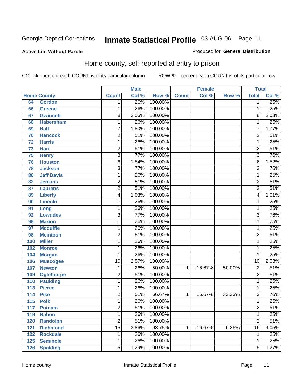Produced for **General Distribution**

#### **Active Life Without Parole**

#### Home county, self-reported at entry to prison

|                  |                    |                         | <b>Male</b> |         |              | <b>Female</b> |        | <b>Total</b>            |       |
|------------------|--------------------|-------------------------|-------------|---------|--------------|---------------|--------|-------------------------|-------|
|                  | <b>Home County</b> | <b>Count</b>            | Col %       | Row %   | <b>Count</b> | Col %         | Row %  | <b>Total</b>            | Col % |
| 64               | <b>Gordon</b>      | 1 <sup>1</sup>          | .26%        | 100.00% |              |               |        | $\overline{1}$          | .25%  |
| 66               | <b>Greene</b>      | 1                       | .26%        | 100.00% |              |               |        | $\overline{1}$          | .25%  |
| 67               | <b>Gwinnett</b>    | $\overline{8}$          | 2.06%       | 100.00% |              |               |        | $\overline{8}$          | 2.03% |
| 68               | <b>Habersham</b>   | 1                       | .26%        | 100.00% |              |               |        | $\overline{1}$          | .25%  |
| 69               | <b>Hall</b>        | $\overline{7}$          | 1.80%       | 100.00% |              |               |        | $\overline{7}$          | 1.77% |
| 70               | <b>Hancock</b>     | $\overline{2}$          | .51%        | 100.00% |              |               |        | $\overline{2}$          | .51%  |
| 72               | <b>Harris</b>      | $\overline{1}$          | .26%        | 100.00% |              |               |        | $\overline{1}$          | .25%  |
| 73               | <b>Hart</b>        | $\overline{2}$          | .51%        | 100.00% |              |               |        | $\overline{2}$          | .51%  |
| 75               | <b>Henry</b>       | $\overline{3}$          | .77%        | 100.00% |              |               |        | $\overline{3}$          | .76%  |
| 76               | <b>Houston</b>     | $\overline{6}$          | 1.54%       | 100.00% |              |               |        | $\overline{6}$          | 1.52% |
| 78               | <b>Jackson</b>     | $\overline{3}$          | .77%        | 100.00% |              |               |        | $\overline{3}$          | .76%  |
| 80               | <b>Jeff Davis</b>  | 1                       | .26%        | 100.00% |              |               |        | $\overline{1}$          | .25%  |
| 82               | <b>Jenkins</b>     | $\overline{2}$          | .51%        | 100.00% |              |               |        | $\overline{2}$          | .51%  |
| 87               | <b>Laurens</b>     | $\overline{2}$          | .51%        | 100.00% |              |               |        | $\overline{2}$          | .51%  |
| 89               | <b>Liberty</b>     | $\overline{4}$          | 1.03%       | 100.00% |              |               |        | $\overline{4}$          | 1.01% |
| 90               | <b>Lincoln</b>     | 1                       | .26%        | 100.00% |              |               |        | $\mathbf{1}$            | .25%  |
| 91               | Long               | 1                       | .26%        | 100.00% |              |               |        | $\overline{1}$          | .25%  |
| 92               | <b>Lowndes</b>     | $\overline{3}$          | .77%        | 100.00% |              |               |        | $\overline{3}$          | .76%  |
| 96               | <b>Marion</b>      | $\overline{1}$          | .26%        | 100.00% |              |               |        | $\overline{1}$          | .25%  |
| 97               | <b>Mcduffie</b>    | 1                       | .26%        | 100.00% |              |               |        | $\mathbf 1$             | .25%  |
| 98               | <b>Mcintosh</b>    | $\overline{2}$          | .51%        | 100.00% |              |               |        | $\overline{2}$          | .51%  |
| 100              | <b>Miller</b>      | $\overline{1}$          | .26%        | 100.00% |              |               |        | $\overline{1}$          | .25%  |
| 102              | <b>Monroe</b>      | $\mathbf{1}$            | .26%        | 100.00% |              |               |        | $\overline{1}$          | .25%  |
| 104              | <b>Morgan</b>      | 1                       | .26%        | 100.00% |              |               |        | $\mathbf{1}$            | .25%  |
| 106              | <b>Muscogee</b>    | $\overline{10}$         | 2.57%       | 100.00% |              |               |        | $\overline{10}$         | 2.53% |
| 107              | <b>Newton</b>      | 1                       | .26%        | 50.00%  | 1            | 16.67%        | 50.00% | $\overline{2}$          | .51%  |
| 109              | <b>Oglethorpe</b>  | $\overline{2}$          | .51%        | 100.00% |              |               |        | $\overline{2}$          | .51%  |
| 110              | <b>Paulding</b>    | $\mathbf{1}$            | .26%        | 100.00% |              |               |        | $\overline{1}$          | .25%  |
| $\overline{113}$ | <b>Pierce</b>      | 1                       | .26%        | 100.00% |              |               |        | $\overline{1}$          | .25%  |
| 114              | <b>Pike</b>        | $\overline{2}$          | .51%        | 66.67%  | 1            | 16.67%        | 33.33% | $\overline{3}$          | .76%  |
| 115              | <b>Polk</b>        | $\overline{1}$          | .26%        | 100.00% |              |               |        | $\overline{1}$          | .25%  |
| 117              | <b>Putnam</b>      | $\overline{\mathbf{c}}$ | .51%        | 100.00% |              |               |        | $\overline{\mathbf{c}}$ | .51%  |
| 119              | <b>Rabun</b>       | $\overline{1}$          | .26%        | 100.00% |              |               |        | $\overline{1}$          | .25%  |
| 120              | <b>Randolph</b>    | $\overline{2}$          | .51%        | 100.00% |              |               |        | $\overline{2}$          | .51%  |
| 121              | <b>Richmond</b>    | $\overline{15}$         | 3.86%       | 93.75%  | 1            | 16.67%        | 6.25%  | $\overline{16}$         | 4.05% |
| 122              | <b>Rockdale</b>    | 1                       | .26%        | 100.00% |              |               |        | $\mathbf{1}$            | .25%  |
| 125              | <b>Seminole</b>    | $\overline{1}$          | .26%        | 100.00% |              |               |        | $\overline{1}$          | .25%  |
| 126              | <b>Spalding</b>    | $\overline{5}$          | 1.29%       | 100.00% |              |               |        | $\overline{5}$          | 1.27% |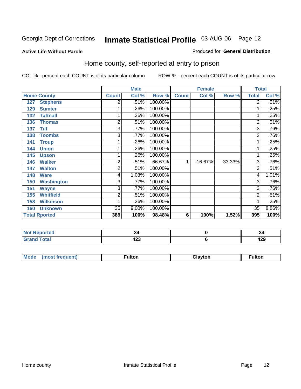#### **Active Life Without Parole**

#### Produced for **General Distribution**

#### Home county, self-reported at entry to prison

|                      |                   |              | <b>Male</b> |         |              | <b>Female</b> |        | <b>Total</b>   |       |
|----------------------|-------------------|--------------|-------------|---------|--------------|---------------|--------|----------------|-------|
| <b>Home County</b>   |                   | <b>Count</b> | Col %       | Row %   | <b>Count</b> | Col %         | Row %  | <b>Total</b>   | Col % |
| 127                  | <b>Stephens</b>   | 2            | .51%        | 100.00% |              |               |        | $\overline{2}$ | .51%  |
| 129                  | <b>Sumter</b>     |              | .26%        | 100.00% |              |               |        |                | .25%  |
| 132                  | <b>Tattnall</b>   |              | .26%        | 100.00% |              |               |        | 1              | .25%  |
| 136                  | <b>Thomas</b>     | 2            | .51%        | 100.00% |              |               |        | $\overline{2}$ | .51%  |
| 137                  | <b>Tift</b>       | 3            | .77%        | 100.00% |              |               |        | $\overline{3}$ | .76%  |
| 138                  | <b>Toombs</b>     | 3            | .77%        | 100.00% |              |               |        | $\overline{3}$ | .76%  |
| 141                  | <b>Troup</b>      |              | .26%        | 100.00% |              |               |        |                | .25%  |
| 144                  | <b>Union</b>      |              | .26%        | 100.00% |              |               |        | 1              | .25%  |
| 145                  | <b>Upson</b>      |              | .26%        | 100.00% |              |               |        | 1              | .25%  |
| 146                  | <b>Walker</b>     | 2            | .51%        | 66.67%  | 1            | 16.67%        | 33.33% | $\overline{3}$ | .76%  |
| 147                  | <b>Walton</b>     | 2            | .51%        | 100.00% |              |               |        | $\overline{2}$ | .51%  |
| 148                  | <b>Ware</b>       | 4            | 1.03%       | 100.00% |              |               |        | 4              | 1.01% |
| 150                  | <b>Washington</b> | 3            | .77%        | 100.00% |              |               |        | 3              | .76%  |
| 151                  | <b>Wayne</b>      | 3            | .77%        | 100.00% |              |               |        | 3              | .76%  |
| 155                  | <b>Whitfield</b>  | 2            | .51%        | 100.00% |              |               |        | $\overline{2}$ | .51%  |
| 158                  | <b>Wilkinson</b>  |              | .26%        | 100.00% |              |               |        | 1              | .25%  |
| 160                  | <b>Unknown</b>    | 35           | 9.00%       | 100.00% |              |               |        | 35             | 8.86% |
| <b>Total Rported</b> |                   | 389          | 100%        | 98.48%  | 6            | 100%          | 1.52%  | 395            | 100%  |

| ported<br>NOT<br><b>NGL</b><br>$\sim$ |                    | . J        |
|---------------------------------------|--------------------|------------|
| 'otal                                 | .<br>$\sim$<br>423 | חרו<br>443 |

| <b>Mo</b><br>$\cdots$ | .<br>__<br>$ -$ | ıltor |
|-----------------------|-----------------|-------|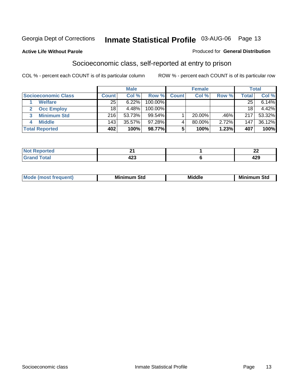#### **Active Life Without Parole**

#### Produced for **General Distribution**

#### Socioeconomic class, self-reported at entry to prison

|                                   | <b>Male</b><br><b>Female</b> |           |            | <b>Total</b> |           |       |                  |        |
|-----------------------------------|------------------------------|-----------|------------|--------------|-----------|-------|------------------|--------|
| <b>Socioeconomic Class</b>        | <b>Count</b>                 | Col %     | Row %      | <b>Count</b> | Col %     | Row % | Total            | Col %  |
| <b>Welfare</b>                    | 25                           | 6.22%     | 100.00%    |              |           |       | 25               | 6.14%  |
| <b>Occ Employ</b><br>$\mathbf{2}$ | 18                           | 4.48%     | $100.00\%$ |              |           |       | 18               | 4.42%  |
| <b>Minimum Std</b><br>3           | 216                          | 53.73%    | $99.54\%$  |              | $20.00\%$ | .46%  | 217              | 53.32% |
| <b>Middle</b>                     | 143                          | $35.57\%$ | $97.28\%$  |              | 80.00%    | 2.72% | 147 <sub>1</sub> | 36.12% |
| <b>Total Reported</b>             | 402                          | 100%      | 98.77%     |              | 100%      | 1.23% | 407              | 100%   |

| <b>rted</b>                 |             | . .        |
|-----------------------------|-------------|------------|
| $C = 4$<br>υιαι<br>$\sim$ . | ı Ar<br>423 | 1つ0<br>42J |

| M<br>Mir<br>Mi<br><b>Middle</b><br><b>C</b> ta<br>Sta<br>əτu<br>.<br>the contract of the contract of the contract of the contract of the contract of the contract of the contract of<br>___ |
|---------------------------------------------------------------------------------------------------------------------------------------------------------------------------------------------|
|---------------------------------------------------------------------------------------------------------------------------------------------------------------------------------------------|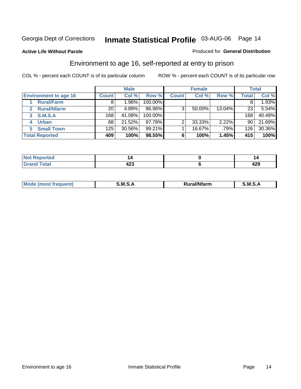**Active Life Without Parole** 

#### Produced for **General Distribution**

#### Environment to age 16, self-reported at entry to prison

|                              |              | <b>Male</b> |            |              | <b>Female</b> |        |              | <b>Total</b> |
|------------------------------|--------------|-------------|------------|--------------|---------------|--------|--------------|--------------|
| <b>Environment to age 16</b> | <b>Count</b> | Col %       | Row %      | <b>Count</b> | Col %         | Row %  | <b>Total</b> | Col %        |
| <b>Rural/Farm</b>            | 8            | $.96\%$     | 100.00%    |              |               |        |              | 1.93%        |
| <b>Rural/Nfarm</b><br>2      | 20           | 4.89%       | 86.96%     | 3            | 50.00%        | 13.04% | 23           | 5.54%        |
| S.M.S.A<br>3                 | 168          | 41.08%      | $100.00\%$ |              |               |        | 168          | 40.48%       |
| <b>Urban</b>                 | 88           | 21.52%      | $97.78\%$  |              | 33.33%        | 2.22%  | 90           | 21.69%       |
| <b>Small Town</b>            | 125          | 30.56%      | $99.21\%$  |              | 16.67%        | .79%   | 126          | 30.36%       |
| <b>Total Reported</b>        | 409          | 100%        | 98.55%     | 6            | 100%          | 1.45%  | 415          | 100%         |

| Reported<br>Not       |             |     |
|-----------------------|-------------|-----|
| <b>Total</b><br>Grand | . מי<br>42J | 429 |

| Mc | .M<br>. . | <br>- - -- - | M |
|----|-----------|--------------|---|
|    |           |              |   |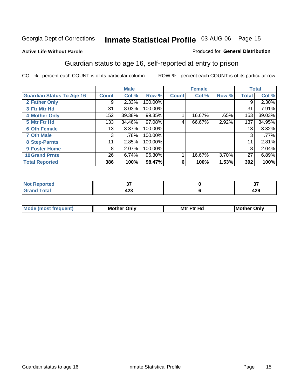#### **Active Life Without Parole**

#### Produced for **General Distribution**

#### Guardian status to age 16, self-reported at entry to prison

|                                  |              | <b>Male</b> |         |              | <b>Female</b> |       |              | <b>Total</b> |
|----------------------------------|--------------|-------------|---------|--------------|---------------|-------|--------------|--------------|
| <b>Guardian Status To Age 16</b> | <b>Count</b> | Col %       | Row %   | <b>Count</b> | Col %         | Row % | <b>Total</b> | Col %        |
| 2 Father Only                    | 9            | 2.33%       | 100.00% |              |               |       | 9            | 2.30%        |
| 3 Ftr Mtr Hd                     | 31           | 8.03%       | 100.00% |              |               |       | 31           | 7.91%        |
| <b>4 Mother Only</b>             | 152          | 39.38%      | 99.35%  |              | 16.67%        | .65%  | 153          | 39.03%       |
| 5 Mtr Ftr Hd                     | 133          | 34.46%      | 97.08%  | 4            | 66.67%        | 2.92% | 137          | 34.95%       |
| <b>6 Oth Female</b>              | 13           | 3.37%       | 100.00% |              |               |       | 13           | 3.32%        |
| <b>7 Oth Male</b>                | 3            | .78%        | 100.00% |              |               |       | 3            | .77%         |
| 8 Step-Parnts                    | 11           | 2.85%       | 100.00% |              |               |       | 11           | 2.81%        |
| 9 Foster Home                    | 8            | 2.07%       | 100.00% |              |               |       | 8            | 2.04%        |
| <b>10 Grand Prnts</b>            | 26           | 6.74%       | 96.30%  |              | 16.67%        | 3.70% | 27           | 6.89%        |
| <b>Total Reported</b>            | 386          | 100%        | 98.47%  | 6            | 100%          | 1.53% | 392          | 100%         |

|   | --<br>$\sim$ | $\sim$ $-$<br>. .                         |
|---|--------------|-------------------------------------------|
| - | ---<br>__    | $\overline{\phantom{a}}$<br>423<br>$\sim$ |

| <b>Mou</b> | Mother<br>Onlv | Hd<br>Mtr<br>E4w | M<br>Only<br>. |
|------------|----------------|------------------|----------------|
|            |                |                  |                |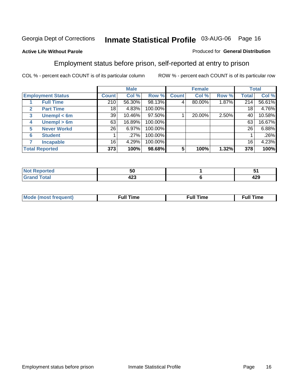#### **Active Life Without Parole**

#### Produced for **General Distribution**

#### Employment status before prison, self-reported at entry to prison

|              |                          |              | <b>Male</b> |         |              | <b>Female</b> |       |              | <b>Total</b> |
|--------------|--------------------------|--------------|-------------|---------|--------------|---------------|-------|--------------|--------------|
|              | <b>Employment Status</b> | <b>Count</b> | Col %       | Row %   | <b>Count</b> | Col %         | Row % | <b>Total</b> | Col %        |
|              | <b>Full Time</b>         | 210          | 56.30%      | 98.13%  |              | 80.00%        | 1.87% | 214          | 56.61%       |
| $\mathbf{2}$ | <b>Part Time</b>         | 18           | 4.83%       | 100.00% |              |               |       | 18           | 4.76%        |
| 3            | Unempl $<$ 6m            | 39           | 10.46%      | 97.50%  |              | 20.00%        | 2.50% | 40           | 10.58%       |
| 4            | Unempl > 6m              | 63           | 16.89%      | 100.00% |              |               |       | 63           | 16.67%       |
| 5            | <b>Never Workd</b>       | 26           | 6.97%       | 100.00% |              |               |       | 26           | 6.88%        |
| 6            | <b>Student</b>           |              | .27%        | 100.00% |              |               |       |              | .26%         |
|              | <b>Incapable</b>         | 16           | 4.29%       | 100.00% |              |               |       | 16           | 4.23%        |
|              | <b>Total Reported</b>    | 373          | 100%        | 98.68%  |              | 100%          | 1.32% | 378          | 100%         |

| тео.                    | .,<br>้วเ   |     |
|-------------------------|-------------|-----|
| <b>Total</b><br>_______ | . מי<br>44J | 429 |

| <b>M</b> ດ | the contract of the contract of the contract of the contract of the contract of the contract of the contract of | , ull i<br>ıme<br>the contract of the contract of the contract of the contract of the contract of the contract of the contract of | ïme<br>uı<br>$\sim$ $\sim$ $\sim$ $\sim$ $\sim$ |
|------------|-----------------------------------------------------------------------------------------------------------------|-----------------------------------------------------------------------------------------------------------------------------------|-------------------------------------------------|
|            |                                                                                                                 |                                                                                                                                   |                                                 |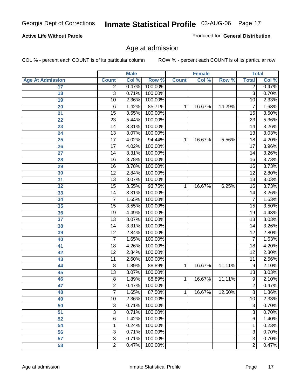#### **Active Life Without Parole**

Produced for **General Distribution**

#### Age at admission

|                         |                 | <b>Male</b> |         |              | <b>Female</b> |        | <b>Total</b>    |       |
|-------------------------|-----------------|-------------|---------|--------------|---------------|--------|-----------------|-------|
| <b>Age At Admission</b> | <b>Count</b>    | Col %       | Row %   | <b>Count</b> | Col %         | Row %  | <b>Total</b>    | Col % |
| 17                      | $\overline{2}$  | 0.47%       | 100.00% |              |               |        | $\overline{2}$  | 0.47% |
| 18                      | $\overline{3}$  | 0.71%       | 100.00% |              |               |        | $\overline{3}$  | 0.70% |
| 19                      | 10              | 2.36%       | 100.00% |              |               |        | $\overline{10}$ | 2.33% |
| 20                      | 6               | 1.42%       | 85.71%  | 1            | 16.67%        | 14.29% | 7               | 1.63% |
| 21                      | 15              | 3.55%       | 100.00% |              |               |        | 15              | 3.50% |
| 22                      | $\overline{23}$ | 5.44%       | 100.00% |              |               |        | $\overline{23}$ | 5.36% |
| 23                      | $\overline{14}$ | 3.31%       | 100.00% |              |               |        | $\overline{14}$ | 3.26% |
| 24                      | $\overline{13}$ | 3.07%       | 100.00% |              |               |        | 13              | 3.03% |
| 25                      | $\overline{17}$ | 4.02%       | 94.44%  | 1            | 16.67%        | 5.56%  | $\overline{18}$ | 4.20% |
| 26                      | $\overline{17}$ | 4.02%       | 100.00% |              |               |        | $\overline{17}$ | 3.96% |
| 27                      | $\overline{14}$ | 3.31%       | 100.00% |              |               |        | $\overline{14}$ | 3.26% |
| 28                      | $\overline{16}$ | 3.78%       | 100.00% |              |               |        | 16              | 3.73% |
| 29                      | $\overline{16}$ | 3.78%       | 100.00% |              |               |        | $\overline{16}$ | 3.73% |
| 30                      | $\overline{12}$ | 2.84%       | 100.00% |              |               |        | $\overline{12}$ | 2.80% |
| 31                      | $\overline{13}$ | 3.07%       | 100.00% |              |               |        | $\overline{13}$ | 3.03% |
| 32                      | 15              | 3.55%       | 93.75%  | 1            | 16.67%        | 6.25%  | 16              | 3.73% |
| 33                      | 14              | 3.31%       | 100.00% |              |               |        | 14              | 3.26% |
| 34                      | 7               | 1.65%       | 100.00% |              |               |        | 7               | 1.63% |
| 35                      | 15              | 3.55%       | 100.00% |              |               |        | $\overline{15}$ | 3.50% |
| 36                      | 19              | 4.49%       | 100.00% |              |               |        | 19              | 4.43% |
| 37                      | $\overline{13}$ | 3.07%       | 100.00% |              |               |        | $\overline{13}$ | 3.03% |
| 38                      | $\overline{14}$ | 3.31%       | 100.00% |              |               |        | 14              | 3.26% |
| 39                      | $\overline{12}$ | 2.84%       | 100.00% |              |               |        | $\overline{12}$ | 2.80% |
| 40                      | 7               | 1.65%       | 100.00% |              |               |        | 7               | 1.63% |
| 41                      | 18              | 4.26%       | 100.00% |              |               |        | 18              | 4.20% |
| 42                      | $\overline{12}$ | 2.84%       | 100.00% |              |               |        | $\overline{12}$ | 2.80% |
| 43                      | $\overline{11}$ | 2.60%       | 100.00% |              |               |        | $\overline{11}$ | 2.56% |
| 44                      | 8               | 1.89%       | 88.89%  | 1            | 16.67%        | 11.11% | 9               | 2.10% |
| 45                      | $\overline{13}$ | 3.07%       | 100.00% |              |               |        | $\overline{13}$ | 3.03% |
| 46                      | $\overline{8}$  | 1.89%       | 88.89%  | 1            | 16.67%        | 11.11% | $\overline{9}$  | 2.10% |
| 47                      | $\overline{2}$  | 0.47%       | 100.00% |              |               |        | $\overline{2}$  | 0.47% |
| 48                      | 7               | 1.65%       | 87.50%  | 1            | 16.67%        | 12.50% | 8               | 1.86% |
| 49                      | 10              | 2.36%       | 100.00% |              |               |        | 10              | 2.33% |
| 50                      | 3               | 0.71%       | 100.00% |              |               |        | $\overline{3}$  | 0.70% |
| 51                      | 3               | 0.71%       | 100.00% |              |               |        | $\overline{3}$  | 0.70% |
| 52                      | 6               | 1.42%       | 100.00% |              |               |        | 6               | 1.40% |
| 54                      | 1               | 0.24%       | 100.00% |              |               |        | 1               | 0.23% |
| 56                      | 3               | 0.71%       | 100.00% |              |               |        | $\overline{3}$  | 0.70% |
| 57                      | $\overline{3}$  | 0.71%       | 100.00% |              |               |        | $\overline{3}$  | 0.70% |
| 58                      | $\overline{2}$  | 0.47%       | 100.00% |              |               |        | $\overline{2}$  | 0.47% |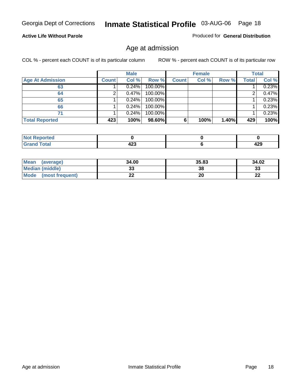#### **Active Life Without Parole**

Produced for **General Distribution**

#### Age at admission

|                         |              | <b>Male</b> |         |              | <b>Female</b> |       |              | <b>Total</b> |
|-------------------------|--------------|-------------|---------|--------------|---------------|-------|--------------|--------------|
| <b>Age At Admission</b> | <b>Count</b> | Col %       | Row %   | <b>Count</b> | Col %         | Row % | <b>Total</b> | Col %        |
| 63                      |              | 0.24%       | 100.00% |              |               |       |              | 0.23%        |
| 64                      |              | 0.47%       | 100.00% |              |               |       |              | 0.47%        |
| 65                      |              | 0.24%       | 100.00% |              |               |       |              | 0.23%        |
| 66                      |              | 0.24%       | 100.00% |              |               |       |              | 0.23%        |
| 71                      |              | 0.24%       | 100.00% |              |               |       |              | 0.23%        |
| <b>Total Reported</b>   | 423          | 100%        | 98.60%  | 6            | 100%          | 1.40% | 429          | 100%         |

| orted<br>TV.           |          |     |
|------------------------|----------|-----|
| <b>Cotal</b><br>______ | ,<br>−∠J | 429 |

| Mean<br>(average)              | 34.00 | 35.83 | 34.02   |
|--------------------------------|-------|-------|---------|
| <b>Median (middle)</b>         | JJ    | 38    | 33      |
| <b>Mode</b><br>(most frequent) |       | 20    | …<br>LL |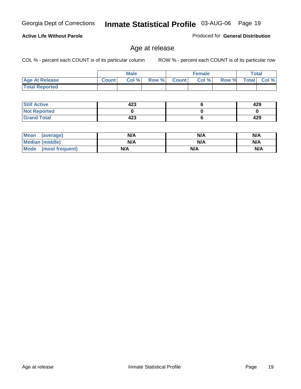#### **Active Life Without Parole**

Produced for **General Distribution**

#### Age at release

|                       |              | <b>Male</b> |       |              | <b>Female</b> |       |              | <b>Total</b> |
|-----------------------|--------------|-------------|-------|--------------|---------------|-------|--------------|--------------|
| <b>Age At Release</b> | <b>Count</b> | Col%        | Row % | <b>Count</b> | Col %         | Row % | <b>Total</b> | Col %        |
| <b>Total Reported</b> |              |             |       |              |               |       |              |              |

| <b>Still Active</b> | 423 | 429 |
|---------------------|-----|-----|
| <b>Not Reported</b> |     |     |
| <b>Grand Total</b>  | 423 | 429 |

| Mean<br>(average)    | N/A | N/A | N/A |
|----------------------|-----|-----|-----|
| Median (middle)      | N/A | N/A | N/A |
| Mode (most frequent) | N/A | N/A | N/A |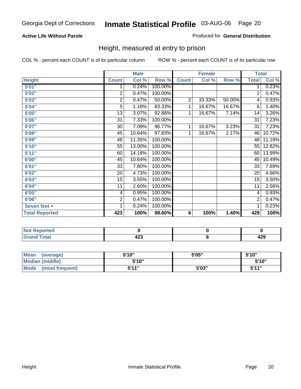#### **Active Life Without Parole**

#### Produced for **General Distribution**

#### Height, measured at entry to prison

|                       |                | <b>Male</b> |         |              | <b>Female</b> |        | <b>Total</b>    |        |
|-----------------------|----------------|-------------|---------|--------------|---------------|--------|-----------------|--------|
| <b>Height</b>         | <b>Count</b>   | Col %       | Row %   | <b>Count</b> | Col %         | Row %  | <b>Total</b>    | Col %  |
| 5'01''                | 1              | 0.24%       | 100.00% |              |               |        | 1               | 0.23%  |
| 5'02"                 | $\overline{2}$ | 0.47%       | 100.00% |              |               |        | $\overline{2}$  | 0.47%  |
| 5'03"                 | $\overline{2}$ | 0.47%       | 50.00%  | 2            | 33.33%        | 50.00% | 4               | 0.93%  |
| 5'04"                 | $\overline{5}$ | 1.18%       | 83.33%  | 1            | 16.67%        | 16.67% | 6               | 1.40%  |
| 5'05"                 | 13             | 3.07%       | 92.86%  | 1            | 16.67%        | 7.14%  | 14              | 3.26%  |
| 5'06"                 | 31             | 7.33%       | 100.00% |              |               |        | $\overline{31}$ | 7.23%  |
| 5'07''                | 30             | 7.09%       | 96.77%  | 1            | 16.67%        | 3.23%  | 31              | 7.23%  |
| 5'08"                 | 45             | 10.64%      | 97.83%  | 1            | 16.67%        | 2.17%  | 46              | 10.72% |
| <b>5'09"</b>          | 48             | 11.35%      | 100.00% |              |               |        | 48              | 11.19% |
| 5'10''                | 55             | 13.00%      | 100.00% |              |               |        | 55              | 12.82% |
| 5'11''                | 60             | 14.18%      | 100.00% |              |               |        | 60              | 13.99% |
| 6'00"                 | 45             | 10.64%      | 100.00% |              |               |        | 45              | 10.49% |
| 6'01''                | 33             | 7.80%       | 100.00% |              |               |        | 33              | 7.69%  |
| 6'02"                 | 20             | 4.73%       | 100.00% |              |               |        | 20              | 4.66%  |
| 6'03''                | 15             | 3.55%       | 100.00% |              |               |        | 15              | 3.50%  |
| 6'04"                 | 11             | 2.60%       | 100.00% |              |               |        | 11              | 2.56%  |
| 6'05"                 | 4              | 0.95%       | 100.00% |              |               |        | 4               | 0.93%  |
| 6'06"                 | $\overline{c}$ | 0.47%       | 100.00% |              |               |        | 2               | 0.47%  |
| Seven feet +          | 1              | 0.24%       | 100.00% |              |               |        | 1               | 0.23%  |
| <b>Total Reported</b> | 423            | 100%        | 98.60%  | 6            | 100%          | 1.40%  | 429             | 100%   |

| <b>Reported</b><br>$\sim$          |       |     |
|------------------------------------|-------|-----|
| otal                               |       | . מ |
| $\sim$ $\sim$ $\sim$ $\sim$ $\sim$ | $- -$ | 74J |

| <b>Mean</b><br>(average)       | 5'10" | 5'05" | 5'10"        |
|--------------------------------|-------|-------|--------------|
| Median (middle)                | 5'10" |       | 5'10"        |
| <b>Mode</b><br>(most frequent) | 5'11" | 5'03" | <b>5'44"</b> |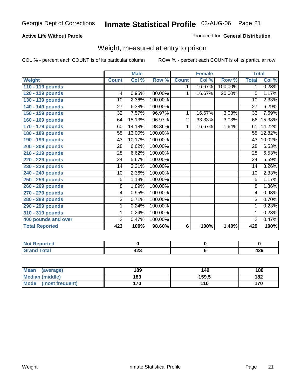#### **Active Life Without Parole**

#### Produced for **General Distribution**

#### Weight, measured at entry to prison

|                       |                 | <b>Male</b> |            |                | <b>Female</b> |         |                 | <b>Total</b> |
|-----------------------|-----------------|-------------|------------|----------------|---------------|---------|-----------------|--------------|
| <b>Weight</b>         | <b>Count</b>    | Col %       | Row %      | <b>Count</b>   | Col %         | Row %   | <b>Total</b>    | Col %        |
| 110 - 119 pounds      |                 |             |            | 1              | 16.67%        | 100.00% | 1 <sup>1</sup>  | 0.23%        |
| 120 - 129 pounds      | $\overline{4}$  | 0.95%       | 80.00%     | 1              | 16.67%        | 20.00%  | $\overline{5}$  | 1.17%        |
| 130 - 139 pounds      | 10              | 2.36%       | 100.00%    |                |               |         | $\overline{10}$ | 2.33%        |
| 140 - 149 pounds      | 27              | 6.38%       | 100.00%    |                |               |         | 27              | 6.29%        |
| 150 - 159 pounds      | 32              | 7.57%       | 96.97%     | 1              | 16.67%        | 3.03%   | 33              | 7.69%        |
| 160 - 169 pounds      | 64              | 15.13%      | 96.97%     | $\overline{2}$ | 33.33%        | 3.03%   | 66              | 15.38%       |
| 170 - 179 pounds      | 60              | 14.18%      | 98.36%     | 1              | 16.67%        | 1.64%   | 61              | 14.22%       |
| 180 - 189 pounds      | 55              | 13.00%      | 100.00%    |                |               |         | 55              | 12.82%       |
| 190 - 199 pounds      | 43              | 10.17%      | 100.00%    |                |               |         | 43              | 10.02%       |
| 200 - 209 pounds      | 28              | 6.62%       | 100.00%    |                |               |         | 28              | 6.53%        |
| 210 - 219 pounds      | 28              | 6.62%       | 100.00%    |                |               |         | 28              | 6.53%        |
| 220 - 229 pounds      | 24              | 5.67%       | 100.00%    |                |               |         | 24              | 5.59%        |
| 230 - 239 pounds      | $\overline{14}$ | 3.31%       | 100.00%    |                |               |         | 14              | 3.26%        |
| 240 - 249 pounds      | 10              | 2.36%       | 100.00%    |                |               |         | 10              | 2.33%        |
| 250 - 259 pounds      | 5               | 1.18%       | 100.00%    |                |               |         | $\overline{5}$  | 1.17%        |
| 260 - 269 pounds      | $\overline{8}$  | 1.89%       | 100.00%    |                |               |         | $\overline{8}$  | 1.86%        |
| 270 - 279 pounds      | 4               | 0.95%       | $100.00\%$ |                |               |         | 4               | 0.93%        |
| 280 - 289 pounds      | 3               | 0.71%       | 100.00%    |                |               |         | 3               | 0.70%        |
| 290 - 299 pounds      | 1               | 0.24%       | 100.00%    |                |               |         | 1               | 0.23%        |
| 310 - 319 pounds      | 1               | 0.24%       | 100.00%    |                |               |         | 1               | 0.23%        |
| 400 pounds and over   | $\overline{2}$  | 0.47%       | 100.00%    |                |               |         | $\overline{2}$  | 0.47%        |
| <b>Total Reported</b> | 423             | 100%        | 98.60%     | 6              | 100%          | 1.40%   | 429             | 100%         |

| N0<br>olatetol       |                      |         |
|----------------------|----------------------|---------|
| `otal<br>_<br>______ | ,,,<br>−∠J<br>$\sim$ | <br>44J |

| Mean<br>(average)    | 189 | 149   | 188 |
|----------------------|-----|-------|-----|
| Median (middle)      | 183 | 159.5 | 182 |
| Mode (most frequent) | 170 | 110   | 170 |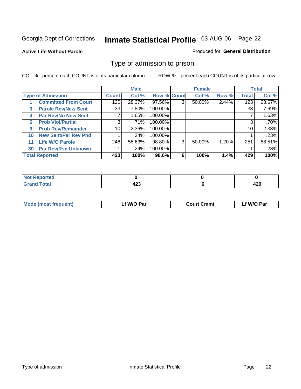#### **Active Life Without Parole**

#### Produced for **General Distribution**

#### Type of admission to prison

|    |                             |                 | <b>Male</b> |                    |   | <b>Female</b> |       |              | <b>Total</b> |
|----|-----------------------------|-----------------|-------------|--------------------|---|---------------|-------|--------------|--------------|
|    | <b>Type of Admission</b>    | <b>Count</b>    | Col %       | <b>Row % Count</b> |   | Col %         | Row % | <b>Total</b> | Col %        |
|    | <b>Committed From Court</b> | 120             | 28.37%      | 97.56%             | 3 | 50.00%        | 2.44% | 123          | 28.67%       |
| 3  | <b>Parole Rev/New Sent</b>  | 33              | 7.80%       | 100.00%            |   |               |       | 33           | 7.69%        |
| 4  | <b>Par Rev/No New Sent</b>  | 7               | 1.65%       | 100.00%            |   |               |       |              | 1.63%        |
| 6  | <b>Prob Viol/Partial</b>    | 3               | .71%        | 100.00%            |   |               |       | 3            | .70%         |
| 9  | <b>Prob Rev/Remainder</b>   | 10 <sup>1</sup> | 2.36%       | 100.00%            |   |               |       | 10           | 2.33%        |
| 10 | <b>New Sent/Par Rev Pnd</b> |                 | .24%        | 100.00%            |   |               |       |              | .23%         |
| 11 | <b>Life W/O Parole</b>      | 248             | 58.63%      | 98.80%             | 3 | 50.00%        | 1.20% | 251          | 58.51%       |
| 30 | <b>Par Rev/Rsn Unknown</b>  |                 | .24%        | 100.00%            |   |               |       |              | .23%         |
|    | <b>Total Reported</b>       | 423             | 100%        | 98.6%              | 6 | 100%          | 1.4%  | 429          | 100%         |

| <b>Reported</b><br>NOT                                 |            |             |
|--------------------------------------------------------|------------|-------------|
| <b>Total</b><br><b>Cre</b><br>$\sim$ . $\sim$ . $\sim$ | ^^^<br>74J | A ממ<br>423 |

| <b>Mode (most frequent)</b> | <b>W/O Par</b> | <b>Court Cmmt</b> | M/O Par |
|-----------------------------|----------------|-------------------|---------|
|                             |                |                   |         |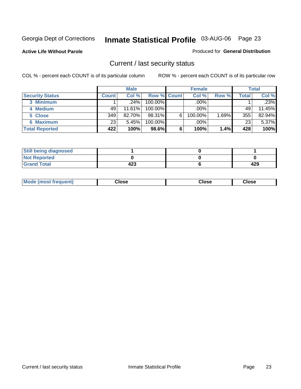**Active Life Without Parole** 

Produced for **General Distribution**

#### Current / last security status

|                        |              | <b>Male</b> |                    |   | <b>Female</b> |       |       | <b>Total</b> |
|------------------------|--------------|-------------|--------------------|---|---------------|-------|-------|--------------|
| <b>Security Status</b> | <b>Count</b> | Col %       | <b>Row % Count</b> |   | Col %         | Row % | Total | Col %        |
| 3 Minimum              |              | $.24\%$     | $100.00\%$         |   | .00%          |       |       | .23%         |
| 4 Medium               | 49           | 11.61%      | $100.00\%$         |   | $.00\%$       |       | 49    | 11.45%       |
| 5 Close                | 349          | 82.70%      | 98.31%             | 6 | 100.00%       | 1.69% | 355   | 82.94%       |
| 6 Maximum              | 23           | 5.45%       | 100.00%            |   | .00%          |       | 23    | 5.37%        |
| <b>Total Reported</b>  | 422          | 100%        | 98.6%              | 6 | 100%          | 1.4%  | 428   | 100%         |

| <b>Still being diagnosed</b> |     |     |
|------------------------------|-----|-----|
| <b>Not Reported</b>          |     |     |
| <b>Grand Total</b>           | 423 | 429 |

|  | Mo<br>frequent)<br>ww | Close<br>. | ાose<br>. | <b>OSE</b><br>. |
|--|-----------------------|------------|-----------|-----------------|
|--|-----------------------|------------|-----------|-----------------|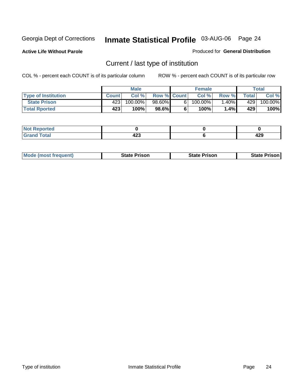**Active Life Without Parole** 

Produced for **General Distribution**

## Current / last type of institution

|                            |              | <b>Male</b> |                    |    | <b>Female</b> |         |         | Total      |
|----------------------------|--------------|-------------|--------------------|----|---------------|---------|---------|------------|
| <b>Type of Institution</b> | <b>Count</b> | Col%        | <b>Row % Count</b> |    | Col%          | Row %   | Total i | Col %      |
| <b>State Prison</b>        | 423          | 100.00%」    | 98.60%             | 61 | 100.00%」      | $.40\%$ | 429     | $100.00\%$ |
| <b>Total Rported</b>       | 423          | 100%        | 98.6%              |    | 100%          | 1.4%    | 429     | 100%       |

| <b>rted</b><br>. |                           |            |
|------------------|---------------------------|------------|
| $-1$ $-1$        | ,<br>. .<br>-23<br>$\sim$ | 190<br>443 |

|  | <b>Mode (most frequent)</b> | State Prison | <b>State Prison</b> | <b>State Prison</b> |
|--|-----------------------------|--------------|---------------------|---------------------|
|--|-----------------------------|--------------|---------------------|---------------------|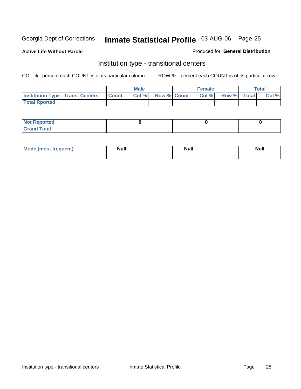**Active Life Without Parole** 

Produced for **General Distribution**

#### Institution type - transitional centers

|                                          |              | Male  |                    | <b>Female</b> |             | <b>Total</b> |
|------------------------------------------|--------------|-------|--------------------|---------------|-------------|--------------|
| <b>Institution Type - Trans. Centers</b> | <b>Count</b> | Col % | <b>Row % Count</b> | Col %         | Row % Total | Col %        |
| <b>Total Rported</b>                     |              |       |                    |               |             |              |

| <b>Not Reported</b>             |  |  |
|---------------------------------|--|--|
| Cotal<br>Cror<br>. <del>.</del> |  |  |

| Mode (most frequent) | <b>Null</b> | <b>Null</b> | <b>Null</b> |
|----------------------|-------------|-------------|-------------|
|                      |             |             |             |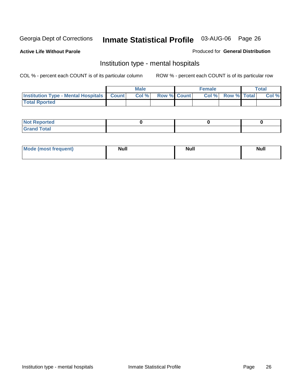**Active Life Without Parole** 

Produced for **General Distribution**

#### Institution type - mental hospitals

|                                                  | <b>Male</b> |                    | <b>Female</b> |                          | <b>Total</b> |
|--------------------------------------------------|-------------|--------------------|---------------|--------------------------|--------------|
| <b>Institution Type - Mental Hospitals Count</b> | Col%        | <b>Row % Count</b> |               | <b>Col % Row % Total</b> | Col %        |
| <b>Total Rported</b>                             |             |                    |               |                          |              |

| <b>Not Reported</b> |  |  |
|---------------------|--|--|
| <b>Fotal</b><br>Cro |  |  |

| Mode (most frequent) | <b>Null</b> | <b>Null</b> | <b>Null</b> |
|----------------------|-------------|-------------|-------------|
|                      |             |             |             |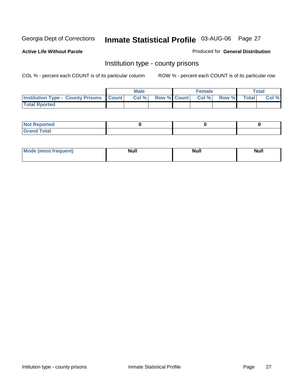**Active Life Without Parole** 

Produced for **General Distribution**

#### Institution type - county prisons

|                                                    | <b>Male</b> |                          | <b>Female</b> |       |       | Total |
|----------------------------------------------------|-------------|--------------------------|---------------|-------|-------|-------|
| <b>Institution Type - County Prisons   Count  </b> | Col %       | <b>Row % Count Col %</b> |               | Row % | Total | Col % |
| <b>Total Rported</b>                               |             |                          |               |       |       |       |

| <b>Not</b><br><b>Reported</b> |  |  |
|-------------------------------|--|--|
| <b>Grand Total</b>            |  |  |

| <b>Mo</b><br>frequent) | NI. . II<br>1u 11 | <b>Moll</b> | <b>Null</b> |
|------------------------|-------------------|-------------|-------------|
|                        |                   |             |             |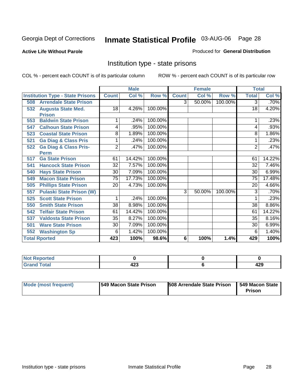#### **Active Life Without Parole**

#### Produced for **General Distribution**

#### Institution type - state prisons

|                                         |                                 |                 | <b>Male</b> |         |              | <b>Female</b> |         | <b>Total</b>    |        |
|-----------------------------------------|---------------------------------|-----------------|-------------|---------|--------------|---------------|---------|-----------------|--------|
| <b>Institution Type - State Prisons</b> |                                 | <b>Count</b>    | Col %       | Row %   | <b>Count</b> | Col %         | Row %   | <b>Total</b>    | Col %  |
| <b>Arrendale State Prison</b><br>508    |                                 |                 |             |         | 3            | 50.00%        | 100.00% | 3               | .70%   |
| <b>Augusta State Med.</b><br>532        |                                 | 18              | 4.26%       | 100.00% |              |               |         | 18              | 4.20%  |
| <b>Prison</b>                           |                                 |                 |             |         |              |               |         |                 |        |
| <b>Baldwin State Prison</b><br>553      |                                 |                 | .24%        | 100.00% |              |               |         |                 | .23%   |
| <b>Calhoun State Prison</b><br>547      |                                 | 4               | .95%        | 100.00% |              |               |         | 4               | .93%   |
| <b>Coastal State Prison</b><br>523      |                                 | 8               | 1.89%       | 100.00% |              |               |         | 8               | 1.86%  |
| <b>Ga Diag &amp; Class Pris</b><br>521  |                                 | 1               | .24%        | 100.00% |              |               |         | 1               | .23%   |
| <b>Ga Diag &amp; Class Pris-</b><br>522 |                                 | $\overline{2}$  | .47%        | 100.00% |              |               |         | 2               | .47%   |
| <b>Perm</b>                             |                                 |                 |             |         |              |               |         |                 |        |
| <b>Ga State Prison</b><br>517           |                                 | 61              | 14.42%      | 100.00% |              |               |         | 61              | 14.22% |
| <b>Hancock State Prison</b><br>541      |                                 | $\overline{32}$ | 7.57%       | 100.00% |              |               |         | $\overline{32}$ | 7.46%  |
| <b>Hays State Prison</b><br>540         |                                 | 30              | 7.09%       | 100.00% |              |               |         | 30              | 6.99%  |
| <b>Macon State Prison</b><br>549        |                                 | $\overline{75}$ | 17.73%      | 100.00% |              |               |         | 75              | 17.48% |
| <b>Phillips State Prison</b><br>505     |                                 | $\overline{20}$ | 4.73%       | 100.00% |              |               |         | $\overline{20}$ | 4.66%  |
| 557                                     | <b>Pulaski State Prison (W)</b> |                 |             |         | 3            | 50.00%        | 100.00% | 3               | .70%   |
| <b>Scott State Prison</b><br>525        |                                 | 1               | .24%        | 100.00% |              |               |         |                 | .23%   |
| <b>Smith State Prison</b><br>550        |                                 | 38              | 8.98%       | 100.00% |              |               |         | 38              | 8.86%  |
| <b>Telfair State Prison</b><br>542      |                                 | 61              | 14.42%      | 100.00% |              |               |         | 61              | 14.22% |
| <b>Valdosta State Prison</b><br>537     |                                 | $\overline{35}$ | 8.27%       | 100.00% |              |               |         | 35              | 8.16%  |
| <b>Ware State Prison</b><br>501         |                                 | $\overline{30}$ | 7.09%       | 100.00% |              |               |         | 30              | 6.99%  |
| <b>Washington Sp</b><br>552             |                                 | 6               | 1.42%       | 100.00% |              |               |         | 6               | 1.40%  |
| <b>Total Rported</b>                    |                                 | 423             | 100%        | 98.6%   | 6            | 100%          | 1.4%    | 429             | 100%   |

| rted                 |            |     |
|----------------------|------------|-----|
| $f$ oto $f$<br>_____ | ,,,<br>423 | 429 |

| Mode (most frequent) | 1549 Macon State Prison | <b>508 Arrendale State Prison</b> | 1549 Macon State<br>Prison |
|----------------------|-------------------------|-----------------------------------|----------------------------|
|----------------------|-------------------------|-----------------------------------|----------------------------|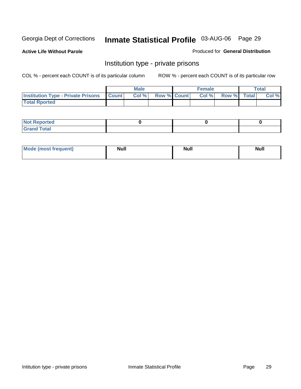**Active Life Without Parole** 

Produced for **General Distribution**

#### Institution type - private prisons

|                                                 | <b>Male</b> |                    | <b>Female</b> |             | Total |
|-------------------------------------------------|-------------|--------------------|---------------|-------------|-------|
| <b>Institution Type - Private Prisons Count</b> | Col %       | <b>Row % Count</b> | Col %         | Row % Total | Col % |
| <b>Total Rported</b>                            |             |                    |               |             |       |

| <b>Not Reported</b>  |  |  |
|----------------------|--|--|
| <b>Total</b><br>Cror |  |  |

| Mode (most frequent) | <b>Null</b> | <b>Null</b> | <b>Null</b> |
|----------------------|-------------|-------------|-------------|
|                      |             |             |             |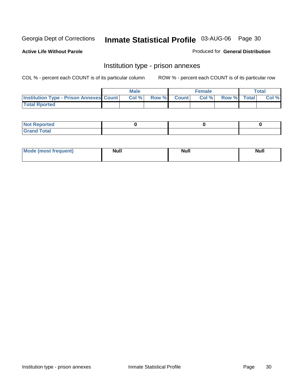**Active Life Without Parole** 

Produced for **General Distribution**

#### Institution type - prison annexes

|                                                | <b>Male</b> |              |                | <b>Female</b> |             | <b>Total</b> |
|------------------------------------------------|-------------|--------------|----------------|---------------|-------------|--------------|
| <b>Institution Type - Prison Annexes Count</b> | Col %       | <b>Row %</b> | <b>Count</b> Ⅰ | Col%          | Row % Total | Col %        |
| <b>Total Rported</b>                           |             |              |                |               |             |              |

| <b>Not</b><br><b>Reported</b>    |  |  |
|----------------------------------|--|--|
| <b>Total</b><br>Gran<br>$\sim$ . |  |  |

| Mode (most frequent) | <b>Null</b> | <b>Null</b> | <b>Null</b> |
|----------------------|-------------|-------------|-------------|
|                      |             |             |             |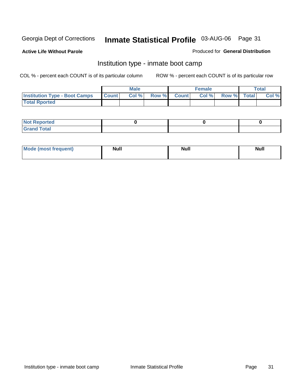**Active Life Without Parole** 

Produced for **General Distribution**

#### Institution type - inmate boot camp

|                                      |              | Male  |       |              | <b>Female</b> |             | Total |
|--------------------------------------|--------------|-------|-------|--------------|---------------|-------------|-------|
| <b>Institution Type - Boot Camps</b> | <b>Count</b> | Col % | Row % | <b>Count</b> | Col %         | Row % Total | Col % |
| <b>Total Rported</b>                 |              |       |       |              |               |             |       |

| <b>Not Reported</b>          |  |  |
|------------------------------|--|--|
| <b>Total</b><br><b>C HAM</b> |  |  |

| Mode (most frequent) | <b>Null</b> | <b>Null</b> | Null |
|----------------------|-------------|-------------|------|
|                      |             |             |      |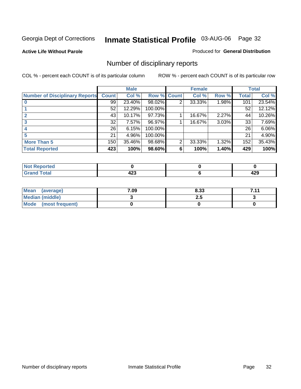**Active Life Without Parole** 

Produced for **General Distribution**

## Number of disciplinary reports

|                                       |              | <b>Male</b> |         |              | <b>Female</b> |       |              | <b>Total</b> |
|---------------------------------------|--------------|-------------|---------|--------------|---------------|-------|--------------|--------------|
| <b>Number of Disciplinary Reports</b> | <b>Count</b> | Col %       | Row %   | <b>Count</b> | Col %         | Row % | <b>Total</b> | Col %        |
|                                       | 99           | 23.40%      | 98.02%  | 2            | 33.33%        | 1.98% | 101          | 23.54%       |
|                                       | 52           | 12.29%      | 100.00% |              |               |       | 52           | 12.12%       |
|                                       | 43           | 10.17%      | 97.73%  |              | 16.67%        | 2.27% | 44           | 10.26%       |
|                                       | 32           | 7.57%       | 96.97%  |              | 16.67%        | 3.03% | 33           | 7.69%        |
|                                       | 26           | 6.15%       | 100.00% |              |               |       | 26           | 6.06%        |
|                                       | 21           | 4.96%       | 100.00% |              |               |       | 21           | 4.90%        |
| <b>More Than 5</b>                    | 150          | 35.46%      | 98.68%  | 2            | 33.33%        | 1.32% | 152          | 35.43%       |
| <b>Total Reported</b>                 | 423          | 100%        | 98.60%  | 6            | 100%          | 1.40% | 429          | 100%         |

| rted<br>N              |          |            |
|------------------------|----------|------------|
| $f \wedge f \wedge f'$ | ,<br>−∠∪ | חהו<br>᠇᠘J |

| Mean<br>(average)      | 7.09 | 8.33 | 711<br>. |
|------------------------|------|------|----------|
| <b>Median (middle)</b> |      | 2.J  |          |
| Mode (most frequent)   |      |      |          |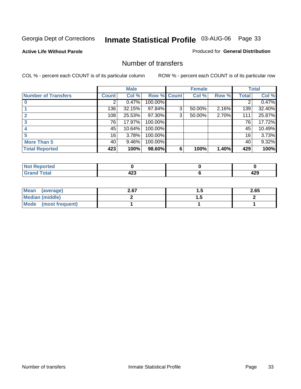#### **Active Life Without Parole**

#### Produced for **General Distribution**

#### Number of transfers

|                       |              | <b>Male</b> |         |              | <b>Female</b> |       |              | <b>Total</b> |
|-----------------------|--------------|-------------|---------|--------------|---------------|-------|--------------|--------------|
| Number of Transfers   | <b>Count</b> | Col %       | Row %   | <b>Count</b> | Col %         | Row % | <b>Total</b> | Col %        |
|                       | 2            | 0.47%       | 100.00% |              |               |       | 2            | 0.47%        |
|                       | 136          | 32.15%      | 97.84%  | 3            | 50.00%        | 2.16% | 139          | 32.40%       |
|                       | 108          | 25.53%      | 97.30%  | 3            | 50.00%        | 2.70% | 111          | 25.87%       |
|                       | 76           | 17.97%      | 100.00% |              |               |       | 76           | 17.72%       |
|                       | 45           | 10.64%      | 100.00% |              |               |       | 45           | 10.49%       |
|                       | 16           | 3.78%       | 100.00% |              |               |       | 16           | 3.73%        |
| <b>More Than 5</b>    | 40           | 9.46%       | 100.00% |              |               |       | 40           | 9.32%        |
| <b>Total Reported</b> | 423          | 100%        | 98.60%  | 6            | 100%          | 1.40% | 429          | 100%         |

| .<br>N<br>те о |           |              |
|----------------|-----------|--------------|
| T <sub>1</sub> | . מי<br>╍ | .<br>ъ.<br>╍ |

| Mean (average)       | 2.67 | $\cdot\cdot$ | 2.65 |
|----------------------|------|--------------|------|
| Median (middle)      |      | .            |      |
| Mode (most frequent) |      |              |      |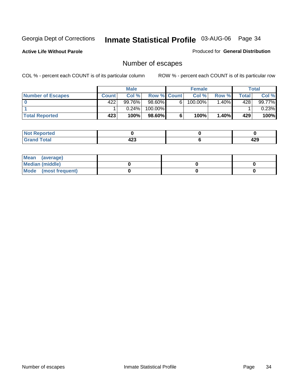**Active Life Without Parole** 

Produced for **General Distribution**

## Number of escapes

|                          |              | <b>Male</b> |                    |   | <b>Female</b> |         |         | <b>Total</b> |
|--------------------------|--------------|-------------|--------------------|---|---------------|---------|---------|--------------|
| <b>Number of Escapes</b> | <b>Count</b> | Col%        | <b>Row % Count</b> |   | Col %         | Row %   | Total . | Col %        |
|                          | 422'         | $99.76\%$   | 98.60%I            | 6 | 100.00%       | $.40\%$ | 428     | 99.77%       |
|                          |              | $0.24\%$    | 100.00%            |   |               |         |         | 0.23%        |
| <b>Total Reported</b>    | 423          | 100%        | 98.60%             | 6 | 100%          | 1.40%   | 429     | 100%         |

| الدائم الأمدار<br>neo |     |     |
|-----------------------|-----|-----|
| <b>otal</b>           | "^  | חרי |
| $\mathbf{v}$ and      | -20 | 42J |

| Mean (average)       |  |  |
|----------------------|--|--|
| Median (middle)      |  |  |
| Mode (most frequent) |  |  |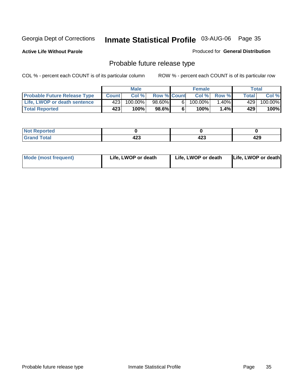**Active Life Without Parole** 

Produced for **General Distribution**

## Probable future release type

|                                     |       | <b>Male</b> |                    |                | <b>Female</b> |          |       | <b>Total</b> |
|-------------------------------------|-------|-------------|--------------------|----------------|---------------|----------|-------|--------------|
| <b>Probable Future Release Type</b> | Count | Col%        | <b>Row % Count</b> |                | Col %         | Row %    | Total | Col %        |
| Life, LWOP or death sentence        | 423   | $100.00\%$  | 98.60%             | 6 <sub>1</sub> | $100.00\%$    | $1.40\%$ | 429   | 100.00%      |
| <b>Total Reported</b>               | 423   | 100%        | $98.6\%$           | 6              | 100%          | 1.4% l   | 429   | 100%         |

| <b>Reported</b><br>NO1 |            |             |     |
|------------------------|------------|-------------|-----|
| <b>Total</b>           | "^^<br>420 | ده.<br>52 - | 429 |

| Mode (most frequent) | Life, LWOP or death | Life, LWOP or death | Life, LWOP or death |
|----------------------|---------------------|---------------------|---------------------|
|----------------------|---------------------|---------------------|---------------------|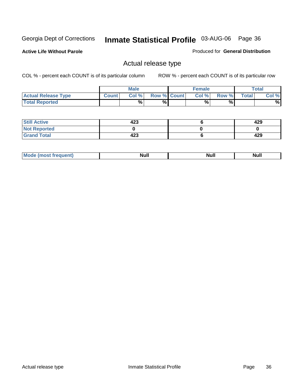**Active Life Without Parole** 

Produced for **General Distribution**

#### Actual release type

|                            |              | <b>Male</b> |                    | <b>Female</b> |       |              | $\tau$ otal |
|----------------------------|--------------|-------------|--------------------|---------------|-------|--------------|-------------|
| <b>Actual Release Type</b> | <b>Count</b> | Col %       | <b>Row % Count</b> | Col %         | Row % | <b>Total</b> | Col %       |
| <b>Total Reported</b>      |              | %           | %                  | %             | %     |              | %           |

| <b>Still Active</b> | 423 | 429 |
|---------------------|-----|-----|
| <b>Not Reported</b> |     |     |
| <b>Grand Total</b>  | 423 | 429 |

| M<br>____<br>_____ | NI | Null | $\cdots$ |
|--------------------|----|------|----------|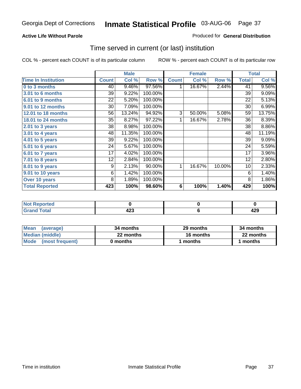### **Active Life Without Parole**

#### Produced for **General Distribution**

## Time served in current (or last) institution

|                            |              | <b>Male</b> |         |                 | <b>Female</b> |        |                 | <b>Total</b> |
|----------------------------|--------------|-------------|---------|-----------------|---------------|--------|-----------------|--------------|
| <b>Time In Institution</b> | <b>Count</b> | Col %       | Row %   | <b>Count</b>    | Col %         | Row %  | <b>Total</b>    | Col %        |
| 0 to 3 months              | 40           | 9.46%       | 97.56%  |                 | 16.67%        | 2.44%  | 41              | 9.56%        |
| <b>3.01 to 6 months</b>    | 39           | 9.22%       | 100.00% |                 |               |        | 39              | 9.09%        |
| 6.01 to 9 months           | 22           | 5.20%       | 100.00% |                 |               |        | 22              | 5.13%        |
| 9.01 to 12 months          | 30           | 7.09%       | 100.00% |                 |               |        | 30              | 6.99%        |
| 12.01 to 18 months         | 56           | 13.24%      | 94.92%  | 3               | 50.00%        | 5.08%  | 59              | 13.75%       |
| 18.01 to 24 months         | 35           | 8.27%       | 97.22%  | 1               | 16.67%        | 2.78%  | 36              | 8.39%        |
| 2.01 to 3 years            | 38           | 8.98%       | 100.00% |                 |               |        | 38              | 8.86%        |
| 3.01 to 4 years            | 48           | 11.35%      | 100.00% |                 |               |        | 48              | 11.19%       |
| 4.01 to 5 years            | 39           | 9.22%       | 100.00% |                 |               |        | 39              | 9.09%        |
| 5.01 to 6 years            | 24           | 5.67%       | 100.00% |                 |               |        | 24              | 5.59%        |
| 6.01 to 7 years            | 17           | 4.02%       | 100.00% |                 |               |        | 17              | 3.96%        |
| $7.01$ to 8 years          | 12           | 2.84%       | 100.00% |                 |               |        | 12              | 2.80%        |
| 8.01 to 9 years            | 9            | 2.13%       | 90.00%  | 1               | 16.67%        | 10.00% | 10 <sup>1</sup> | 2.33%        |
| 9.01 to 10 years           | 6            | 1.42%       | 100.00% |                 |               |        | 6               | 1.40%        |
| Over 10 years              | 8            | 1.89%       | 100.00% |                 |               |        | 8               | 1.86%        |
| <b>Total Reported</b>      | 423          | 100%        | 98.60%  | $6\phantom{1}6$ | 100%          | 1.40%  | 429             | 100%         |

| <b>Reported</b><br><b>NOT</b> |            |            |
|-------------------------------|------------|------------|
| <b>Total</b>                  | ,,,<br>ຯ∠ა | חרו<br>44J |

| <b>Mean</b><br>(average) | 34 months | 29 months | 34 months |
|--------------------------|-----------|-----------|-----------|
| Median (middle)          | 22 months | 16 months | 22 months |
| Mode<br>(most frequent)  | 0 months  | ∣ months  | months    |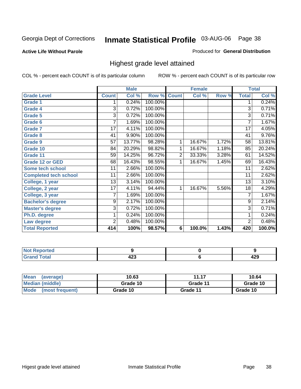#### **Active Life Without Parole**

#### Produced for **General Distribution**

## Highest grade level attained

|                              |                 | <b>Male</b> |         |              | <b>Female</b> |       |                 | <b>Total</b> |
|------------------------------|-----------------|-------------|---------|--------------|---------------|-------|-----------------|--------------|
| <b>Grade Level</b>           | <b>Count</b>    | Col %       | Row %   | <b>Count</b> | Col %         | Row % | <b>Total</b>    | Col %        |
| <b>Grade 1</b>               | 1               | 0.24%       | 100.00% |              |               |       | 1               | 0.24%        |
| <b>Grade 4</b>               | $\overline{3}$  | 0.72%       | 100.00% |              |               |       | $\overline{3}$  | 0.71%        |
| Grade 5                      | 3               | 0.72%       | 100.00% |              |               |       | 3               | 0.71%        |
| Grade 6                      | 7               | 1.69%       | 100.00% |              |               |       | 7               | 1.67%        |
| <b>Grade 7</b>               | $\overline{17}$ | 4.11%       | 100.00% |              |               |       | $\overline{17}$ | 4.05%        |
| <b>Grade 8</b>               | 41              | 9.90%       | 100.00% |              |               |       | 41              | 9.76%        |
| <b>Grade 9</b>               | 57              | 13.77%      | 98.28%  | 1            | 16.67%        | 1.72% | 58              | 13.81%       |
| Grade 10                     | 84              | 20.29%      | 98.82%  | 1            | 16.67%        | 1.18% | 85              | 20.24%       |
| Grade 11                     | 59              | 14.25%      | 96.72%  | 2            | 33.33%        | 3.28% | 61              | 14.52%       |
| <b>Grade 12 or GED</b>       | 68              | 16.43%      | 98.55%  | 1            | 16.67%        | 1.45% | 69              | 16.43%       |
| <b>Some tech school</b>      | 11              | 2.66%       | 100.00% |              |               |       | 11              | 2.62%        |
| <b>Completed tech school</b> | 11              | $2.66\%$    | 100.00% |              |               |       | 11              | 2.62%        |
| College, 1 year              | 13              | 3.14%       | 100.00% |              |               |       | 13              | 3.10%        |
| College, 2 year              | $\overline{17}$ | 4.11%       | 94.44%  | 1            | 16.67%        | 5.56% | 18              | 4.29%        |
| College, 3 year              | 7               | 1.69%       | 100.00% |              |               |       | 7               | 1.67%        |
| <b>Bachelor's degree</b>     | 9               | 2.17%       | 100.00% |              |               |       | $\overline{9}$  | 2.14%        |
| <b>Master's degree</b>       | 3               | 0.72%       | 100.00% |              |               |       | $\overline{3}$  | 0.71%        |
| Ph.D. degree                 | 1               | 0.24%       | 100.00% |              |               |       | 1               | 0.24%        |
| Law degree                   | 2               | 0.48%       | 100.00% |              |               |       | $\overline{2}$  | 0.48%        |
| <b>Total Reported</b>        | 414             | 100%        | 98.57%  | 6            | 100.0%        | 1.43% | 420             | 100.0%       |

| i Alba<br><b>South an and</b><br>rtea<br>N0<br>. |            |         |
|--------------------------------------------------|------------|---------|
| $T \sim 4 \times 1$<br><b>C.L.</b><br>-          | ^^^<br>42J | <br>429 |

| <b>Mean</b><br>(average)       | 10.63    | 11.17    | 10.64    |
|--------------------------------|----------|----------|----------|
| Median (middle)                | Grade 10 | Grade 11 | Grade 10 |
| <b>Mode</b><br>(most frequent) | Grade 10 | Grade 11 | Grade 10 |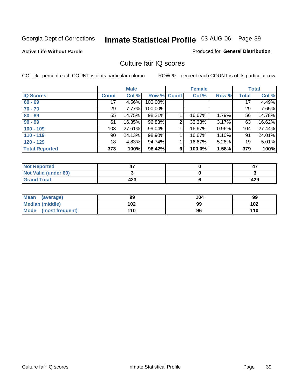#### **Active Life Without Parole**

### Produced for **General Distribution**

## Culture fair IQ scores

|                       |                 | <b>Male</b> |             |   | <b>Female</b> |       |              | <b>Total</b> |
|-----------------------|-----------------|-------------|-------------|---|---------------|-------|--------------|--------------|
| <b>IQ Scores</b>      | <b>Count</b>    | Col %       | Row % Count |   | Col %         | Row % | <b>Total</b> | Col %        |
| $60 - 69$             | 17              | 4.56%       | 100.00%     |   |               |       | 17           | 4.49%        |
| $70 - 79$             | 29              | 7.77%       | 100.00%     |   |               |       | 29           | 7.65%        |
| $80 - 89$             | 55              | 14.75%      | 98.21%      |   | 16.67%        | 1.79% | 56           | 14.78%       |
| $90 - 99$             | 61              | 16.35%      | 96.83%      | 2 | 33.33%        | 3.17% | 63           | 16.62%       |
| $100 - 109$           | 103             | 27.61%      | 99.04%      |   | 16.67%        | 0.96% | 104          | 27.44%       |
| $110 - 119$           | 90 <sub>1</sub> | 24.13%      | 98.90%      |   | 16.67%        | 1.10% | 91           | 24.01%       |
| $120 - 129$           | 18 <sup>1</sup> | 4.83%       | 94.74%      |   | 16.67%        | 5.26% | 19           | 5.01%        |
| <b>Total Reported</b> | 373             | 100%        | 98.42%      | 6 | 100.0%        | 1.58% | 379          | 100%         |

| <b>Not Reported</b>         |     | 4,  |
|-----------------------------|-----|-----|
| <b>Not Valid (under 60)</b> |     |     |
| <b>Grand Total</b>          | 423 | 429 |

| <b>Mean</b><br>(average)       | 99  | 104 | 99  |
|--------------------------------|-----|-----|-----|
| Median (middle)                | 102 | 99  | 102 |
| <b>Mode</b><br>(most frequent) | 110 | 96  | 110 |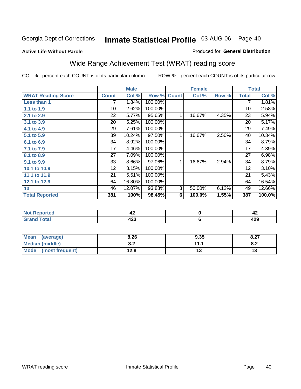#### **Active Life Without Parole**

## Produced for **General Distribution**

# Wide Range Achievement Test (WRAT) reading score

|                           |                 | <b>Male</b> |         |                | <b>Female</b>  |       |              | <b>Total</b> |
|---------------------------|-----------------|-------------|---------|----------------|----------------|-------|--------------|--------------|
| <b>WRAT Reading Score</b> | <b>Count</b>    | Col %       | Row %   | <b>Count</b>   | Col %          | Row % | <b>Total</b> | Col %        |
| Less than 1               | 7               | 1.84%       | 100.00% |                |                |       | 7            | 1.81%        |
| 1.1 to 1.9                | 10              | 2.62%       | 100.00% |                |                |       | 10           | 2.58%        |
| 2.1 to 2.9                | 22              | 5.77%       | 95.65%  | 1              | 16.67%         | 4.35% | 23           | 5.94%        |
| 3.1 to 3.9                | 20              | 5.25%       | 100.00% |                |                |       | 20           | 5.17%        |
| 4.1 to 4.9                | $\overline{29}$ | 7.61%       | 100.00% |                |                |       | 29           | 7.49%        |
| 5.1 to 5.9                | 39              | 10.24%      | 97.50%  | 1              | 16.67%         | 2.50% | 40           | 10.34%       |
| 6.1 to 6.9                | 34              | 8.92%       | 100.00% |                |                |       | 34           | 8.79%        |
| 7.1 to 7.9                | 17              | 4.46%       | 100.00% |                |                |       | 17           | 4.39%        |
| 8.1 to 8.9                | 27              | 7.09%       | 100.00% |                |                |       | 27           | 6.98%        |
| 9.1 to 9.9                | 33              | 8.66%       | 97.06%  | 1              | 16.67%         | 2.94% | 34           | 8.79%        |
| 10.1 to 10.9              | 12              | 3.15%       | 100.00% |                |                |       | 12           | 3.10%        |
| 11.1 to 11.9              | 21              | 5.51%       | 100.00% |                |                |       | 21           | 5.43%        |
| 12.1 to 12.9              | 64              | 16.80%      | 100.00% |                |                |       | 64           | 16.54%       |
| 13                        | 46              | 12.07%      | 93.88%  | $\overline{3}$ | 50.00%         | 6.12% | 49           | 12.66%       |
| <b>Total Reported</b>     | 381             | 100%        | 98.45%  | 6              | 100.0%         | 1.55% | 387          | $100.0\%$    |
|                           |                 |             |         |                |                |       |              |              |
| <b>Not Reported</b>       |                 | 42          |         |                | $\pmb{0}$      |       |              | 42           |
| <b>Grand Total</b>        |                 | 423         |         |                | $6\phantom{1}$ |       |              | 429          |

| Mean<br>(average)              | 8.26       | 9.35 | 0.27<br>0.21 |
|--------------------------------|------------|------|--------------|
| <b>Median (middle)</b>         | י ה<br>v.z |      | o.z          |
| <b>Mode</b><br>(most frequent) | 12.8       |      | יי           |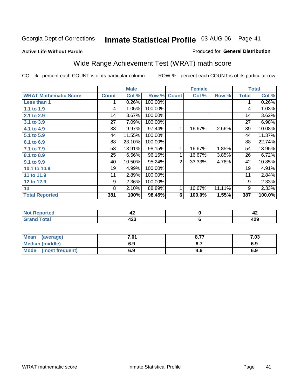#### **Active Life Without Parole**

#### Produced for **General Distribution**

# Wide Range Achievement Test (WRAT) math score

|                              |              | <b>Male</b> |         |              | <b>Female</b> |        |              | <b>Total</b> |
|------------------------------|--------------|-------------|---------|--------------|---------------|--------|--------------|--------------|
| <b>WRAT Mathematic Score</b> | <b>Count</b> | Col %       | Row %   | <b>Count</b> | Col %         | Row %  | <b>Total</b> | Col %        |
| Less than 1                  |              | 0.26%       | 100.00% |              |               |        | 1            | 0.26%        |
| 1.1 to 1.9                   | 4            | 1.05%       | 100.00% |              |               |        | 4            | 1.03%        |
| 2.1 to 2.9                   | 14           | 3.67%       | 100.00% |              |               |        | 14           | 3.62%        |
| 3.1 to 3.9                   | 27           | 7.09%       | 100.00% |              |               |        | 27           | 6.98%        |
| 4.1 to 4.9                   | 38           | 9.97%       | 97.44%  | 1            | 16.67%        | 2.56%  | 39           | 10.08%       |
| 5.1 to 5.9                   | 44           | 11.55%      | 100.00% |              |               |        | 44           | 11.37%       |
| 6.1 to 6.9                   | 88           | 23.10%      | 100.00% |              |               |        | 88           | 22.74%       |
| 7.1 to 7.9                   | 53           | 13.91%      | 98.15%  | 1            | 16.67%        | 1.85%  | 54           | 13.95%       |
| 8.1 to 8.9                   | 25           | 6.56%       | 96.15%  | 1            | 16.67%        | 3.85%  | 26           | 6.72%        |
| 9.1 to 9.9                   | 40           | 10.50%      | 95.24%  | 2            | 33.33%        | 4.76%  | 42           | 10.85%       |
| 10.1 to 10.9                 | 19           | 4.99%       | 100.00% |              |               |        | 19           | 4.91%        |
| 11 to 11.9                   | 11           | 2.89%       | 100.00% |              |               |        | 11           | 2.84%        |
| 12 to 12.9                   | 9            | 2.36%       | 100.00% |              |               |        | 9            | 2.33%        |
| 13                           | 8            | 2.10%       | 88.89%  | 1            | 16.67%        | 11.11% | 9            | 2.33%        |
| <b>Total Reported</b>        | 381          | 100%        | 98.45%  | 6            | 100.0%        | 1.55%  | 387          | 100.0%       |
|                              |              |             |         |              |               |        |              |              |
| <b>Not Reported</b>          |              | 42          |         |              | $\mathbf 0$   |        |              | 42           |
| <b>Grand Total</b>           |              | 423         |         |              | 6             |        |              | 429          |

| <b>Mean</b><br>(average)       | 7.01 | 8.77 | 7.03 |
|--------------------------------|------|------|------|
| <b>Median (middle)</b>         | 6.9  |      | 6.9  |
| <b>Mode</b><br>(most frequent) | 6.9  | 4.0  | 6.9  |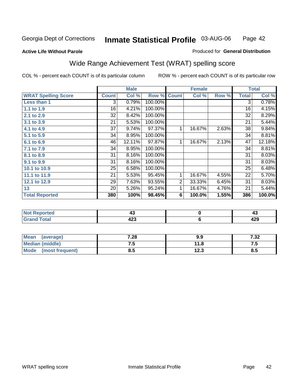### **Active Life Without Parole**

#### Produced for **General Distribution**

# Wide Range Achievement Test (WRAT) spelling score

|                            |              | <b>Male</b> |         |                | <b>Female</b> |       |                | <b>Total</b> |
|----------------------------|--------------|-------------|---------|----------------|---------------|-------|----------------|--------------|
| <b>WRAT Spelling Score</b> | <b>Count</b> | Col %       | Row %   | <b>Count</b>   | Col %         | Row % | <b>Total</b>   | Col %        |
| Less than 1                | 3            | 0.79%       | 100.00% |                |               |       | $\overline{3}$ | 0.78%        |
| 1.1 to 1.9                 | 16           | 4.21%       | 100.00% |                |               |       | 16             | 4.15%        |
| 2.1 to 2.9                 | 32           | 8.42%       | 100.00% |                |               |       | 32             | 8.29%        |
| 3.1 to 3.9                 | 21           | 5.53%       | 100.00% |                |               |       | 21             | 5.44%        |
| 4.1 to 4.9                 | 37           | 9.74%       | 97.37%  | $\mathbf{1}$   | 16.67%        | 2.63% | 38             | 9.84%        |
| 5.1 to 5.9                 | 34           | 8.95%       | 100.00% |                |               |       | 34             | 8.81%        |
| 6.1 to 6.9                 | 46           | 12.11%      | 97.87%  | 1              | 16.67%        | 2.13% | 47             | 12.18%       |
| 7.1 to 7.9                 | 34           | 8.95%       | 100.00% |                |               |       | 34             | 8.81%        |
| 8.1 to 8.9                 | 31           | 8.16%       | 100.00% |                |               |       | 31             | 8.03%        |
| 9.1 to 9.9                 | 31           | 8.16%       | 100.00% |                |               |       | 31             | 8.03%        |
| 10.1 to 10.9               | 25           | 6.58%       | 100.00% |                |               |       | 25             | 6.48%        |
| 11.1 to 11.9               | 21           | 5.53%       | 95.45%  | 1              | 16.67%        | 4.55% | 22             | 5.70%        |
| 12.1 to 12.9               | 29           | 7.63%       | 93.55%  | $\overline{2}$ | 33.33%        | 6.45% | 31             | 8.03%        |
| 13                         | 20           | 5.26%       | 95.24%  | 1              | 16.67%        | 4.76% | 21             | 5.44%        |
| <b>Total Reported</b>      | 380          | 100%        | 98.45%  | 6              | 100.0%        | 1.55% | 386            | 100.0%       |
|                            |              |             |         |                |               |       |                |              |
| <b>Not Reported</b>        |              | 43          |         |                | $\pmb{0}$     |       |                | 43           |
| <b>Grand Total</b>         |              | 423         |         |                | $\bf 6$       |       |                | 429          |

| Mean<br>(average)       | 7.28 | 9.9  | 7.32  |
|-------------------------|------|------|-------|
| <b>Median (middle)</b>  | ن. ا | 11.8 | . . J |
| Mode<br>(most frequent) | 8.5  | 12.3 | 8.5   |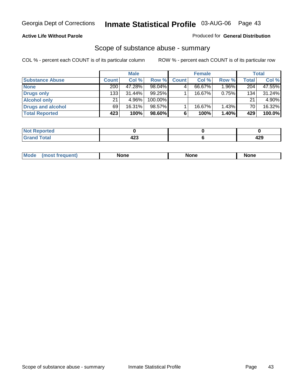### **Active Life Without Parole**

#### Produced for **General Distribution**

## Scope of substance abuse - summary

|                        |              | <b>Male</b> |           |              | <b>Female</b> |          |              | <b>Total</b> |
|------------------------|--------------|-------------|-----------|--------------|---------------|----------|--------------|--------------|
| <b>Substance Abuse</b> | <b>Count</b> | Col %       | Row %     | <b>Count</b> | Col %         | Row %    | <b>Total</b> | Col %        |
| <b>None</b>            | 200          | 47.28%      | 98.04%    |              | 66.67%        | $1.96\%$ | 204          | 47.55%       |
| Drugs only             | 133          | $31.44\%$   | $99.25\%$ |              | 16.67%        | 0.75%    | 134          | 31.24%       |
| <b>Alcohol only</b>    | 21           | 4.96%       | 100.00%   |              |               |          | 21           | 4.90%        |
| Drugs and alcohol      | 69           | 16.31%      | 98.57%    |              | 16.67%        | 1.43%    | 70           | 16.32%       |
| <b>Total Reported</b>  | 423          | 100%        | 98.60%    |              | 100%          | 1.40%    | 429          | 100.0%       |

| <b>Not</b><br>Reported   |                    |                      |
|--------------------------|--------------------|----------------------|
| <b>Total</b><br>' Gran⊾i | .<br>423<br>$\sim$ | חהו<br>-23<br>$\sim$ |

|  | Mode<br>nuemm | <b>None</b> | <b>None</b> | None |
|--|---------------|-------------|-------------|------|
|--|---------------|-------------|-------------|------|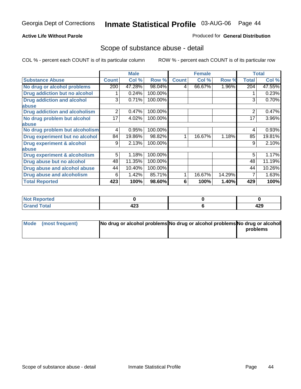### **Active Life Without Parole**

#### Produced for **General Distribution**

## Scope of substance abuse - detail

|                                         |              | <b>Male</b> |         |              | <b>Female</b> |        |                | <b>Total</b> |
|-----------------------------------------|--------------|-------------|---------|--------------|---------------|--------|----------------|--------------|
| <b>Substance Abuse</b>                  | <b>Count</b> | Col %       | Row %   | <b>Count</b> | Col %         | Row %  | <b>Total</b>   | Col %        |
| No drug or alcohol problems             | 200          | 47.28%      | 98.04%  | 4            | 66.67%        | 1.96%  | 204            | 47.55%       |
| Drug addiction but no alcohol           |              | 0.24%       | 100.00% |              |               |        |                | 0.23%        |
| <b>Drug addiction and alcohol</b>       | 3            | 0.71%       | 100.00% |              |               |        | 3              | 0.70%        |
| abuse                                   |              |             |         |              |               |        |                |              |
| <b>Drug addiction and alcoholism</b>    | 2            | 0.47%       | 100.00% |              |               |        | $\overline{2}$ | 0.47%        |
| No drug problem but alcohol             | 17           | 4.02%       | 100.00% |              |               |        | 17             | 3.96%        |
| abuse                                   |              |             |         |              |               |        |                |              |
| No drug problem but alcoholism          | 4            | 0.95%       | 100.00% |              |               |        | 4              | 0.93%        |
| Drug experiment but no alcohol          | 84           | 19.86%      | 98.82%  |              | 16.67%        | 1.18%  | 85             | 19.81%       |
| <b>Drug experiment &amp; alcohol</b>    | 9            | 2.13%       | 100.00% |              |               |        | 9              | 2.10%        |
| abuse                                   |              |             |         |              |               |        |                |              |
| <b>Drug experiment &amp; alcoholism</b> | 5            | 1.18%       | 100.00% |              |               |        | 5              | 1.17%        |
| Drug abuse but no alcohol               | 48           | 11.35%      | 100.00% |              |               |        | 48             | 11.19%       |
| Drug abuse and alcohol abuse            | 44           | 10.40%      | 100.00% |              |               |        | 44             | 10.26%       |
| Drug abuse and alcoholism               | 6            | 1.42%       | 85.71%  |              | 16.67%        | 14.29% | 7              | 1.63%        |
| <b>Total Reported</b>                   | 423          | 100%        | 98.60%  | 6            | 100%          | 1.40%  | 429            | 100%         |

| $\vert$ Not Reported |           |         |
|----------------------|-----------|---------|
| <b>Total</b>         | "י<br>423 | <br>429 |

| Mode (most frequent) | No drug or alcohol problems No drug or alcohol problems No drug or alcohol |          |
|----------------------|----------------------------------------------------------------------------|----------|
|                      |                                                                            | problems |
|                      |                                                                            |          |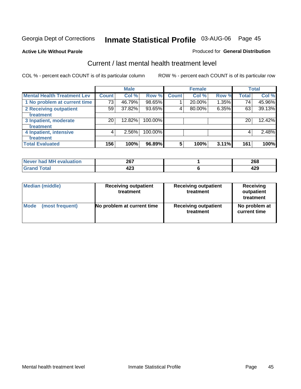**Active Life Without Parole** 

#### Produced for **General Distribution**

## Current / last mental health treatment level

|                                    |              | <b>Male</b> |         |              | <b>Female</b> |          |              | <b>Total</b> |
|------------------------------------|--------------|-------------|---------|--------------|---------------|----------|--------------|--------------|
| <b>Mental Health Treatment Lev</b> | <b>Count</b> | Col %       | Row %   | <b>Count</b> | Col %         | Row %    | <b>Total</b> | Col %        |
| 1 No problem at current time       | 73           | 46.79%      | 98.65%  |              | 20.00%        | $1.35\%$ | 74           | 45.96%       |
| 2 Receiving outpatient             | 59           | 37.82%      | 93.65%  | 4            | 80.00%        | 6.35%    | 63           | 39.13%       |
| treatment                          |              |             |         |              |               |          |              |              |
| 3 Inpatient, moderate              | 20           | 12.82%      | 100.00% |              |               |          | 20           | 12.42%       |
| treatment                          |              |             |         |              |               |          |              |              |
| 4 Inpatient, intensive             | 4            | 2.56%       | 100.00% |              |               |          | 4            | 2.48%        |
| treatment                          |              |             |         |              |               |          |              |              |
| <b>Total Evaluated</b>             | 156          | 100%        | 96.89%  | 5            | 100%          | 3.11%    | 161          | 100%         |

| Never had MH evaluation | 267       | 268        |
|-------------------------|-----------|------------|
| Total                   | "י<br>74J | - ה<br>-23 |

| <b>Median (middle)</b> | <b>Receiving outpatient</b><br>treatment | <b>Receiving outpatient</b><br>treatment | <b>Receiving</b><br>outpatient<br>treatment |  |
|------------------------|------------------------------------------|------------------------------------------|---------------------------------------------|--|
| <b>Mode</b>            | No problem at current time               | <b>Receiving outpatient</b>              | No problem at                               |  |
| (most frequent)        |                                          | treatment                                | current time                                |  |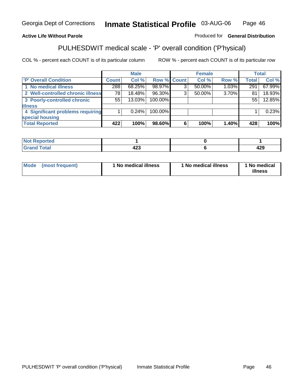## **Active Life Without Parole**

## Produced for **General Distribution**

# PULHESDWIT medical scale - 'P' overall condition ('P'hysical)

|                                   |              | <b>Male</b> |             |   | <b>Female</b> |          |              | <b>Total</b> |
|-----------------------------------|--------------|-------------|-------------|---|---------------|----------|--------------|--------------|
| <b>P' Overall Condition</b>       | <b>Count</b> | Col %       | Row % Count |   | Col %         | Row %    | <b>Total</b> | Col %        |
| 1 No medical illness              | 288          | 68.25%      | 98.97%      | ົ | 50.00%        | 1.03%    | 291          | 67.99%       |
| 2 Well-controlled chronic illness | 78           | 18.48%      | 96.30%      | 3 | 50.00%        | 3.70%    | 81           | 18.93%       |
| 3 Poorly-controlled chronic       | 55           | $13.03\%$   | 100.00%     |   |               |          | 55           | 12.85%       |
| <b>illness</b>                    |              |             |             |   |               |          |              |              |
| 4 Significant problems requiring  |              | $0.24\%$    | 100.00%     |   |               |          |              | 0.23%        |
| special housing                   |              |             |             |   |               |          |              |              |
| <b>Total Reported</b>             | 422          | 100%        | 98.60%      | 6 | 100%          | $1.40\%$ | 428          | 100%         |

| Not Reported |                             |     |
|--------------|-----------------------------|-----|
| <b>otal</b>  | ,,,<br>. .<br>44,<br>$\sim$ | 429 |

| Mode<br>(most frequent) | 1 No medical illness | 1 No medical illness | 1 No medical<br>illness |
|-------------------------|----------------------|----------------------|-------------------------|
|-------------------------|----------------------|----------------------|-------------------------|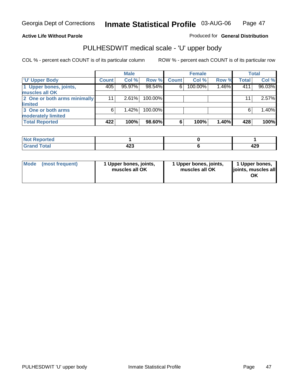## **Active Life Without Parole**

Produced for **General Distribution**

## PULHESDWIT medical scale - 'U' upper body

|                              |              | <b>Male</b> |         |              | <b>Female</b> |       |              | <b>Total</b> |
|------------------------------|--------------|-------------|---------|--------------|---------------|-------|--------------|--------------|
| <b>TU' Upper Body</b>        | <b>Count</b> | Col %       | Row %   | <b>Count</b> | Col %         | Row % | <b>Total</b> | Col %        |
| 1 Upper bones, joints,       | 405          | 95.97%      | 98.54%  | 6            | 100.00%       | 1.46% | 411          | 96.03%       |
| muscles all OK               |              |             |         |              |               |       |              |              |
| 2 One or both arms minimally | 11           | 2.61%       | 100.00% |              |               |       | 11           | 2.57%        |
| limited                      |              |             |         |              |               |       |              |              |
| 3 One or both arms           | 6            | 1.42%       | 100.00% |              |               |       | 6            | 1.40%        |
| moderately limited           |              |             |         |              |               |       |              |              |
| <b>Total Reported</b>        | 422          | 100%        | 98.60%  | 6            | 100%          | 1.40% | 428          | 100%         |

| المتحامين<br><b>Reported</b><br>N<br>. |                     |          |
|----------------------------------------|---------------------|----------|
| <b>intal</b><br>_____                  | ,,,<br>ᅚᄼ<br>$\sim$ | .<br>443 |

| Mode | (most frequent) | 1 Upper bones, joints,<br>muscles all OK | 1 Upper bones, joints,<br>muscles all OK | 1 Upper bones,<br>joints, muscles all<br>ΟK |
|------|-----------------|------------------------------------------|------------------------------------------|---------------------------------------------|
|------|-----------------|------------------------------------------|------------------------------------------|---------------------------------------------|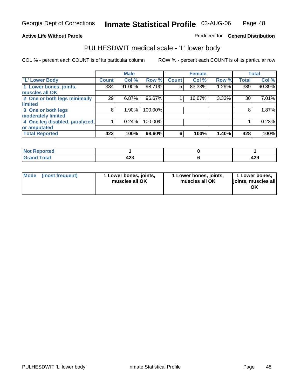#### **Active Life Without Parole**

#### Produced for **General Distribution**

## PULHESDWIT medical scale - 'L' lower body

|                                |              | <b>Male</b> |         |              | <b>Female</b> |       |              | <b>Total</b> |
|--------------------------------|--------------|-------------|---------|--------------|---------------|-------|--------------|--------------|
| 'L' Lower Body                 | <b>Count</b> | Col %       | Row %   | <b>Count</b> | Col %         | Row % | <b>Total</b> | Col %        |
| 1 Lower bones, joints,         | 384          | 91.00%      | 98.71%  | 5            | 83.33%        | 1.29% | 389          | 90.89%       |
| muscles all OK                 |              |             |         |              |               |       |              |              |
| 2 One or both legs minimally   | 29           | 6.87%       | 96.67%  |              | 16.67%        | 3.33% | 30           | 7.01%        |
| limited                        |              |             |         |              |               |       |              |              |
| 3 One or both legs             | 8            | 1.90%       | 100.00% |              |               |       | 8            | 1.87%        |
| moderately limited             |              |             |         |              |               |       |              |              |
| 4 One leg disabled, paralyzed, |              | 0.24%       | 100.00% |              |               |       |              | 0.23%        |
| or amputated                   |              |             |         |              |               |       |              |              |
| <b>Total Reported</b>          | 422          | 100%        | 98.60%  | 6            | 100%          | 1.40% | 428          | 100%         |

| $N = 1$<br><b>Anted</b><br>'N I |            |            |
|---------------------------------|------------|------------|
| $F0$ tol<br>. uldi<br>.         | "^^<br>−∠J | 100<br>42J |

|  | Mode (most frequent) | 1 Lower bones, joints,<br>muscles all OK | 1 Lower bones, joints,<br>muscles all OK | 1 Lower bones,<br>joints, muscles all<br>OK |
|--|----------------------|------------------------------------------|------------------------------------------|---------------------------------------------|
|--|----------------------|------------------------------------------|------------------------------------------|---------------------------------------------|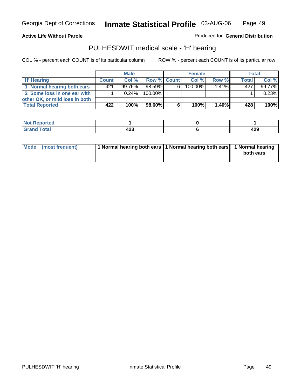**Active Life Without Parole** 

Produced for **General Distribution**

## PULHESDWIT medical scale - 'H' hearing

|                                |              | <b>Male</b> |             |    | <b>Female</b> |          | Total        |        |
|--------------------------------|--------------|-------------|-------------|----|---------------|----------|--------------|--------|
| 'H' Hearing                    | <b>Count</b> | Col %       | Row % Count |    | Col%          | Row %    | <b>Total</b> | Col %  |
| 1 Normal hearing both ears     | 421          | 99.76%      | 98.59%      | 6. | 100.00%       | $1.41\%$ | 427          | 99.77% |
| 2 Some loss in one ear with    |              | $0.24\%$    | 100.00%     |    |               |          |              | 0.23%  |
| other OK, or mild loss in both |              |             |             |    |               |          |              |        |
| <b>Total Reported</b>          | 422          | 100%        | 98.60%      |    | 100%          | $1.40\%$ | 428          | 100%   |

| тео |        |     |
|-----|--------|-----|
| --  | .<br>╍ | 429 |

| Mode (most frequent) | 1 Normal hearing both ears 1 Normal hearing both ears 1 Normal hearing | both ears |
|----------------------|------------------------------------------------------------------------|-----------|
|                      |                                                                        |           |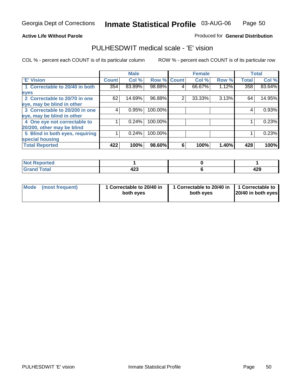#### **Active Life Without Parole**

#### Produced for **General Distribution**

## PULHESDWIT medical scale - 'E' vision

|                                 |              | <b>Male</b> |                    |   | <b>Female</b> |       |              | <b>Total</b> |
|---------------------------------|--------------|-------------|--------------------|---|---------------|-------|--------------|--------------|
| 'E' Vision                      | <b>Count</b> | Col %       | <b>Row % Count</b> |   | Col %         | Row % | <b>Total</b> | Col %        |
| 1 Correctable to 20/40 in both  | 354          | 83.89%      | 98.88%             | 4 | 66.67%        | 1.12% | 358          | 83.64%       |
| eyes                            |              |             |                    |   |               |       |              |              |
| 2 Correctable to 20/70 in one   | 62           | 14.69%      | 96.88%             | 2 | 33.33%        | 3.13% | 64           | 14.95%       |
| eye, may be blind in other      |              |             |                    |   |               |       |              |              |
| 3 Correctable to 20/200 in one  | 4            | 0.95%       | 100.00%            |   |               |       | 4            | 0.93%        |
| eye, may be blind in other      |              |             |                    |   |               |       |              |              |
| 4 One eye not correctable to    |              | 0.24%       | 100.00%            |   |               |       |              | 0.23%        |
| 20/200, other may be blind      |              |             |                    |   |               |       |              |              |
| 5 Blind in both eyes, requiring |              | 0.24%       | 100.00%            |   |               |       |              | 0.23%        |
| special housing                 |              |             |                    |   |               |       |              |              |
| <b>Total Reported</b>           | 422          | 100%        | 98.60%             | 6 | 100%          | 1.40% | 428          | 100%         |

| <b>Not Reported</b> |                      |         |
|---------------------|----------------------|---------|
| <b>Total</b><br>Crr | "^^<br>429<br>$\sim$ | <br>429 |

| <b>Mode</b>     | 1 Correctable to 20/40 in | 1 Correctable to 20/40 in   1 Correctable to | 20/40 in both eyes |
|-----------------|---------------------------|----------------------------------------------|--------------------|
| (most frequent) | both eyes                 | both eves                                    |                    |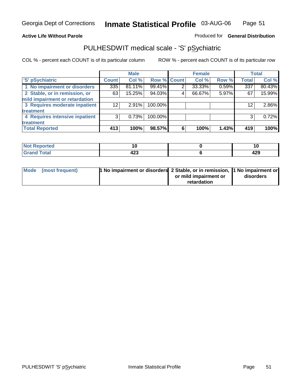## **Active Life Without Parole**

## Produced for **General Distribution**

## PULHESDWIT medical scale - 'S' pSychiatric

|                                |              | <b>Male</b> |                    |   | <b>Female</b> |       |                 | <b>Total</b> |
|--------------------------------|--------------|-------------|--------------------|---|---------------|-------|-----------------|--------------|
| 'S' pSychiatric                | <b>Count</b> | Col %       | <b>Row % Count</b> |   | Col %         | Row % | <b>Total</b>    | Col %        |
| 1 No impairment or disorders   | 335          | 81.11%      | 99.41%             | 2 | 33.33%        | 0.59% | 337             | 80.43%       |
| 2 Stable, or in remission, or  | 63           | 15.25%      | 94.03%             | 4 | 66.67%        | 5.97% | 67              | 15.99%       |
| mild impairment or retardation |              |             |                    |   |               |       |                 |              |
| 3 Requires moderate inpatient  | 12           | $2.91\%$    | 100.00%            |   |               |       | 12 <sup>2</sup> | $2.86\%$     |
| treatment                      |              |             |                    |   |               |       |                 |              |
| 4 Requires intensive inpatient | 3            | 0.73%       | 100.00%            |   |               |       | 3               | 0.72%        |
| treatment                      |              |             |                    |   |               |       |                 |              |
| <b>Total Reported</b>          | 413          | 100%        | 98.57%             | 6 | 100%          | 1.43% | 419             | 100%         |

| eported<br>NG | 1 U        | IJ   |
|---------------|------------|------|
| <b>Total</b>  | $\sqrt{2}$ | A ממ |
| <b>Caree</b>  | 42J        | 463  |

| Mode (most frequent) | 1 No impairment or disorders 2 Stable, or in remission, 11 No impairment or |                       |           |
|----------------------|-----------------------------------------------------------------------------|-----------------------|-----------|
|                      |                                                                             | or mild impairment or | disorders |
|                      |                                                                             | retardation           |           |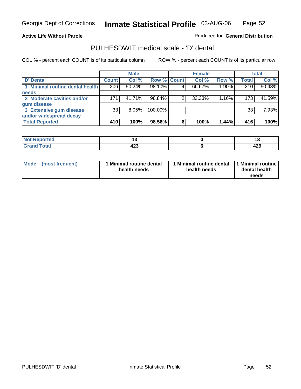#### **Active Life Without Parole**

Produced for **General Distribution**

## PULHESDWIT medical scale - 'D' dental

|                                 |       | <b>Male</b> |             |   | <b>Female</b> |       |              | <b>Total</b> |
|---------------------------------|-------|-------------|-------------|---|---------------|-------|--------------|--------------|
| <b>D'</b> Dental                | Count | Col %       | Row % Count |   | Col %         | Row % | <b>Total</b> | Col %        |
| 1 Minimal routine dental health | 206   | $50.24\%$   | 98.10%      |   | 66.67%        | 1.90% | 210          | 50.48%       |
| <b>needs</b>                    |       |             |             |   |               |       |              |              |
| 2 Moderate cavities and/or      | 171   | 41.71%      | 98.84%      |   | 33.33%        | 1.16% | 173          | 41.59%       |
| gum disease                     |       |             |             |   |               |       |              |              |
| 3 Extensive gum disease         | 33    | $8.05\%$    | 100.00%     |   |               |       | 33           | 7.93%        |
| and/or widespread decay         |       |             |             |   |               |       |              |              |
| <b>Total Reported</b>           | 410   | 100%        | 98.56%      | 6 | 100%          | 1.44% | 416          | 100%         |

| ----<br>neo<br>N | . .<br>$-$ |     |
|------------------|------------|-----|
| $int^{\bullet}$  | ,,,        | 100 |
| ______           | 429        | 44J |

| Mode (most frequent) | <b>Minimal routine dental</b><br>health needs | 1 Minimal routine dental<br>health needs | 1 Minimal routine<br>dental health<br>needs |
|----------------------|-----------------------------------------------|------------------------------------------|---------------------------------------------|
|----------------------|-----------------------------------------------|------------------------------------------|---------------------------------------------|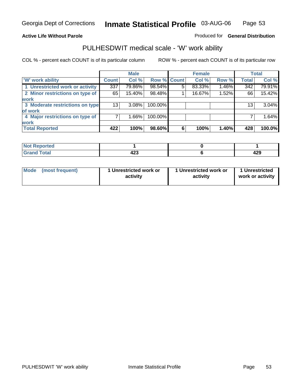## **Active Life Without Parole**

## Produced for **General Distribution**

## PULHESDWIT medical scale - 'W' work ability

|                                 |              | <b>Male</b> |             |   | <b>Female</b> |       |              | <b>Total</b> |
|---------------------------------|--------------|-------------|-------------|---|---------------|-------|--------------|--------------|
| <b>W' work ability</b>          | <b>Count</b> | Col %       | Row % Count |   | Col %         | Row % | <b>Total</b> | Col %        |
| 1 Unrestricted work or activity | 337          | 79.86%      | 98.54%      | 5 | 83.33%        | 1.46% | 342          | 79.91%       |
| 2 Minor restrictions on type of | 65           | 15.40%      | 98.48%      |   | 16.67%        | 1.52% | 66           | 15.42%       |
| <b>work</b>                     |              |             |             |   |               |       |              |              |
| 3 Moderate restrictions on type | 13           | $3.08\%$    | 100.00%     |   |               |       | 13           | 3.04%        |
| of work                         |              |             |             |   |               |       |              |              |
| 4 Major restrictions on type of |              | $1.66\%$    | 100.00%     |   |               |       |              | 1.64%        |
| <b>work</b>                     |              |             |             |   |               |       |              |              |
| <b>Total Reported</b>           | 422          | 100%        | 98.60%      | 6 | 100%          | 1.40% | 428          | 100.0%       |

| $N$<br><b>Reported</b> |     |     |
|------------------------|-----|-----|
| Total                  | ,,, |     |
| C-rs                   | 42J | 429 |

| Mode | (most frequent) | 1 Unrestricted work or<br>activity | 1 Unrestricted work or<br>activity | 1 Unrestricted<br>work or activity |  |
|------|-----------------|------------------------------------|------------------------------------|------------------------------------|--|
|      |                 |                                    |                                    |                                    |  |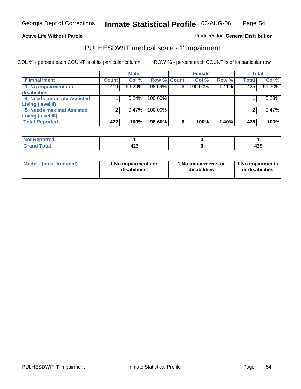#### **Active Life Without Parole**

### Produced for **General Distribution**

## PULHESDWIT medical scale - 'I' impairment

|                                 |              | <b>Male</b> |                    |   | <b>Female</b> |       |              | <b>Total</b> |
|---------------------------------|--------------|-------------|--------------------|---|---------------|-------|--------------|--------------|
| 'l' Impairment                  | <b>Count</b> | Col %       | <b>Row % Count</b> |   | Col %         | Row % | <b>Total</b> | Col %        |
| 1 No impairments or             | 419'         | 99.29%      | $98.59\%$          | 6 | 100.00%       | 1.41% | 425          | 99.30%       |
| disabilities                    |              |             |                    |   |               |       |              |              |
| 4 Needs moderate Assisted       |              | 0.24%       | 100.00%            |   |               |       |              | 0.23%        |
| Living (level II)               |              |             |                    |   |               |       |              |              |
| <b>5 Needs maximal Assisted</b> |              | $0.47\%$    | $100.00\%$         |   |               |       |              | 0.47%        |
| <b>Living (level III)</b>       |              |             |                    |   |               |       |              |              |
| <b>Total Reported</b>           | 422          | 100%        | 98.60%             | 6 | 100%          | 1.40% | 428          | 100%         |

| Reported<br>NOT<br> |         |            |
|---------------------|---------|------------|
| <b>Total</b>        | <br>−∠J | . מ<br>463 |

| Mode            | 1 No impairments or | 1 No impairments or | 1 No impairments |
|-----------------|---------------------|---------------------|------------------|
| (most frequent) | disabilities        | disabilities        | or disabilities  |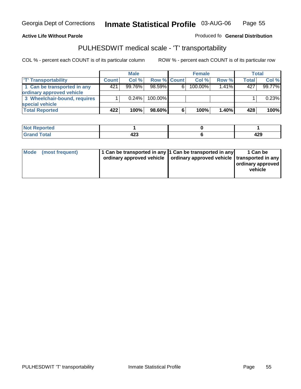#### **Inmate Statistical Profile** 03-AUG-06 Page Page 55

## **Active Life Without Parole Produced fo Seneral Distribution**

## PULHESDWIT medical scale - 'T' transportability

|                              |              | <b>Male</b> |                    |   | <b>Female</b> |       |              | <b>Total</b> |
|------------------------------|--------------|-------------|--------------------|---|---------------|-------|--------------|--------------|
| <b>T' Transportability</b>   | <b>Count</b> | Col%        | <b>Row % Count</b> |   | Col%          | Row % | <b>Total</b> | Col %        |
| 1 Can be transported in any  | 421          | 99.76%      | 98.59%             | 6 | 100.00%       | 1.41% | 427          | 99.77%       |
| ordinary approved vehicle    |              |             |                    |   |               |       |              |              |
| 3 Wheelchair-bound, requires |              | 0.24%       | $100.00\%$         |   |               |       |              | 0.23%        |
| special vehicle              |              |             |                    |   |               |       |              |              |
| <b>Total Reported</b>        | 422          | 100%        | 98.60%             | 6 | 100%          | 1.40% | 428          | 100%         |

| <b>Not Reported</b> |     |     |
|---------------------|-----|-----|
| <b>Total</b>        | ,   | ,,, |
| Cro                 | 443 | 443 |

| Mode | (most frequent) | 1 Can be transported in any 1 Can be transported in any | ordinary approved vehicle   ordinary approved vehicle   transported in any | 1 Can be<br>ordinary approved<br>vehicle |
|------|-----------------|---------------------------------------------------------|----------------------------------------------------------------------------|------------------------------------------|
|------|-----------------|---------------------------------------------------------|----------------------------------------------------------------------------|------------------------------------------|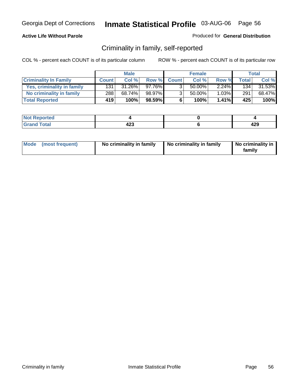### **Active Life Without Parole**

#### Produced for **General Distribution**

## Criminality in family, self-reported

|                              |                    | <b>Male</b> |        |                | <b>Female</b> |       |       | Total     |
|------------------------------|--------------------|-------------|--------|----------------|---------------|-------|-------|-----------|
| <b>Criminality In Family</b> | <b>Count</b>       | Col %       | Row %  | <b>Count</b>   | Col %         | Row % | Total | Col %     |
| Yes, criminality in family   | 131                | 31.26%      | 97.76% |                | 50.00%        | 2.24% | 134   | $31.53\%$ |
| No criminality in family     | 288                | 68.74%      | 98.97% | 3 <sub>1</sub> | 50.00%        | 1.03% | 291   | 68.47%    |
| <b>Total Reported</b>        | $419$ <sup>1</sup> | 100%        | 98.59% | 6              | 100%          | 1.41% | 425   | 100%      |

| ported<br><b>NOT</b><br><b>IJCI</b> |                      |            |
|-------------------------------------|----------------------|------------|
| $\sim$<br>Grar<br>$\sim$            | ៱៱៱<br>−∠J<br>$\sim$ | ^^^<br>443 |

|  | Mode (most frequent) | No criminality in family | No criminality in family | No criminality in<br>family |
|--|----------------------|--------------------------|--------------------------|-----------------------------|
|--|----------------------|--------------------------|--------------------------|-----------------------------|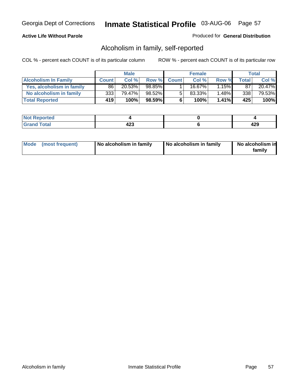### **Active Life Without Parole**

#### Produced for **General Distribution**

## Alcoholism in family, self-reported

|                             |              | <b>Male</b> |        |              | <b>Female</b> |          |       | Total  |
|-----------------------------|--------------|-------------|--------|--------------|---------------|----------|-------|--------|
| <b>Alcoholism In Family</b> | <b>Count</b> | Col %       | Row %  | <b>Count</b> | Col %         | Row %    | Total | Col %  |
| Yes, alcoholism in family   | 86           | 20.53%      | 98.85% |              | 16.67%        | 1.15%    | 87    | 20.47% |
| No alcoholism in family     | 333          | 79.47%      | 98.52% | 5            | 83.33%        | $1.48\%$ | 338   | 79.53% |
| <b>Total Reported</b>       | 419          | 100%        | 98.59% | 6            | 100%          | 1.41%    | 425   | 100%   |

| oorted<br><b>NOT</b><br><b>IJCI</b> |                      |            |
|-------------------------------------|----------------------|------------|
| <b>c</b> otal<br>Gran<br>---        | ,,,<br>−∠J<br>$\sim$ | "^^<br>443 |

|  | Mode (most frequent) | No alcoholism in family | No alcoholism in family | No alcoholism in<br>familv |
|--|----------------------|-------------------------|-------------------------|----------------------------|
|--|----------------------|-------------------------|-------------------------|----------------------------|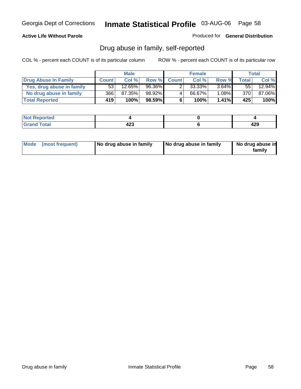### **Active Life Without Parole**

Produced for **General Distribution**

## Drug abuse in family, self-reported

|                           |              | <b>Male</b> |        |              | <b>Female</b> |          |       | <b>Total</b> |
|---------------------------|--------------|-------------|--------|--------------|---------------|----------|-------|--------------|
| Drug Abuse In Family      | <b>Count</b> | Col %       | Row %  | <b>Count</b> | Col %         | Row %    | Total | Col %        |
| Yes, drug abuse in family | 53           | $12.65\%$   | 96.36% | າ            | 33.33%        | $3.64\%$ | 55    | 12.94%       |
| No drug abuse in family   | 366          | 87.35%      | 98.92% | 4            | 66.67%        | $.08\%$  | 370   | 87.06%       |
| <b>Total Reported</b>     | 419'         | 100%        | 98.59% | 6            | 100%          | $1.41\%$ | 425   | 100%         |

| oorted<br><b>NOT</b><br><b>IJCI</b> |                      |            |
|-------------------------------------|----------------------|------------|
| <b>c</b> otal<br>Gran<br>---        | ,,,<br>−∠J<br>$\sim$ | "^^<br>443 |

|  | Mode (most frequent) | No drug abuse in family | No drug abuse in family | No drug abuse in<br>family |
|--|----------------------|-------------------------|-------------------------|----------------------------|
|--|----------------------|-------------------------|-------------------------|----------------------------|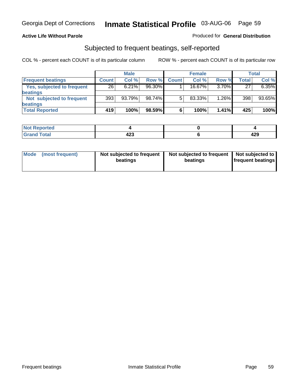#### **Active Life Without Parole**

#### Produced for **General Distribution**

## Subjected to frequent beatings, self-reported

|                            |              | <b>Male</b> |        |              | <b>Female</b> |       |              | Total  |
|----------------------------|--------------|-------------|--------|--------------|---------------|-------|--------------|--------|
| <b>Frequent beatings</b>   | <b>Count</b> | Col%        | Row %  | <b>Count</b> | Col%          | Row % | <b>Total</b> | Col %  |
| Yes, subjected to frequent | 26           | 6.21%       | 96.30% |              | 16.67%        | 3.70% | 27           | 6.35%  |
| <b>beatings</b>            |              |             |        |              |               |       |              |        |
| Not subjected to frequent  | 393          | 93.79%      | 98.74% | 5            | 83.33%        | 1.26% | 398          | 93.65% |
| <b>beatings</b>            |              |             |        |              |               |       |              |        |
| <b>Total Reported</b>      | 419          | 100%        | 98.59% | 6            | 100%          | 1.41% | 425          | 100%   |

| <b>Reported</b><br>NOT<br>. |            |   |
|-----------------------------|------------|---|
| T <sub>ofol</sub><br>υιαι   | "^^<br>16J | . |

| Mode<br>(most frequent) | beatings | Not subjected to frequent | Not subjected to frequent<br>beatings | Not subjected to<br><b>frequent beatings</b> |
|-------------------------|----------|---------------------------|---------------------------------------|----------------------------------------------|
|                         |          |                           |                                       |                                              |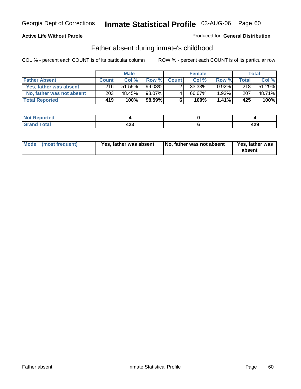### **Active Life Without Parole**

#### Produced for **General Distribution**

## Father absent during inmate's childhood

|                           |              | <b>Male</b> |           |              | <b>Female</b> |          |       | Total  |
|---------------------------|--------------|-------------|-----------|--------------|---------------|----------|-------|--------|
| <b>Father Absent</b>      | <b>Count</b> | Col %       | Row %     | <b>Count</b> | Col %         | Row %    | Total | Col %  |
| Yes, father was absent    | 216          | 51.55%      | $99.08\%$ |              | 33.33%        | $0.92\%$ | 218   | 51.29% |
| No, father was not absent | 203          | 48.45%      | 98.07%    | 4            | 66.67%        | $1.93\%$ | 207   | 48.71% |
| <b>Total Reported</b>     | 419'         | 100%        | $98.59\%$ | 6            | 100%          | $1.41\%$ | 425   | 100%   |

| oorted<br><b>NOT</b><br><b>IJCI</b> |                      |            |
|-------------------------------------|----------------------|------------|
| <b>c</b> otal<br>Gran<br>---        | ,,,<br>−∠J<br>$\sim$ | "^^<br>443 |

|  | Mode (most frequent) | Yes, father was absent | No, father was not absent | Yes, father was<br>absent |
|--|----------------------|------------------------|---------------------------|---------------------------|
|--|----------------------|------------------------|---------------------------|---------------------------|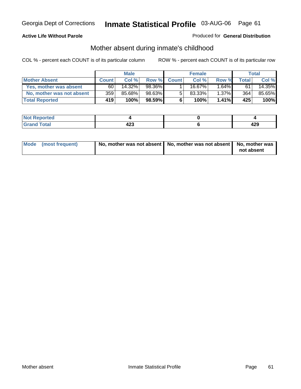### **Active Life Without Parole**

#### Produced for **General Distribution**

# Mother absent during inmate's childhood

|                           |              | <b>Male</b> |           |              | <b>Female</b> |          |       | Total  |
|---------------------------|--------------|-------------|-----------|--------------|---------------|----------|-------|--------|
| <b>Mother Absent</b>      | <b>Count</b> | Col%        | Row %I    | <b>Count</b> | Col %         | Row %    | Total | Col %  |
| Yes, mother was absent    | 60           | 14.32%      | $98.36\%$ |              | 16.67%        | $1.64\%$ | 61    | 14.35% |
| No, mother was not absent | 359          | 85.68%      | 98.63%    | 5            | 83.33%        | $1.37\%$ | 364   | 85.65% |
| <b>Total Reported</b>     | 419'         | $100\%$     | $98.59\%$ | 6            | 100%          | $1.41\%$ | 425   | 100%   |

| <b>Not Reported</b>   |                  |            |
|-----------------------|------------------|------------|
| <b>Total</b><br>Grand | ,,,<br>ᅲᆇᆓ<br>__ | י ה<br>423 |

| Mode (most frequent) | No, mother was not absent $\vert$ No, mother was not absent $\vert$ No, mother was | not absent |
|----------------------|------------------------------------------------------------------------------------|------------|
|                      |                                                                                    |            |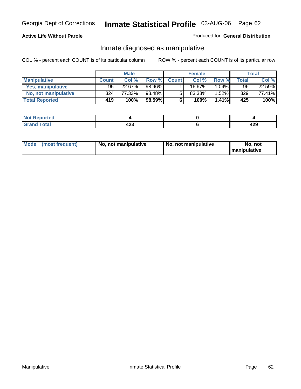### **Active Life Without Parole**

### Produced for **General Distribution**

## Inmate diagnosed as manipulative

|                       |              | <b>Male</b> |           |              | <b>Female</b> |          |              | Total  |
|-----------------------|--------------|-------------|-----------|--------------|---------------|----------|--------------|--------|
| <b>Manipulative</b>   | <b>Count</b> | Col %       | Row %     | <b>Count</b> | Col %         | Row %    | <b>Total</b> | Col %  |
| Yes, manipulative     | 95           | 22.67%      | 98.96%    |              | $16.67\%$     | $1.04\%$ | 96           | 22.59% |
| No, not manipulative  | 324          | 77.33%      | 98.48%    | 5            | 83.33%        | $1.52\%$ | 329          | 77.41% |
| <b>Total Reported</b> | 419'         | 100%        | $98.59\%$ | 6            | 100%          | 1.41%    | 425          | 100%   |

| rted<br><b>NO</b> t<br>יסרו . |                    |            |
|-------------------------------|--------------------|------------|
| $\sim$<br>Grar<br>$\sim$      | ,<br>-20<br>$\sim$ | ה ה<br>-23 |

| <b>Mode</b><br>No, not manipulative<br>(most frequent) | No. not manipulative | No. not<br>I manipulative |
|--------------------------------------------------------|----------------------|---------------------------|
|--------------------------------------------------------|----------------------|---------------------------|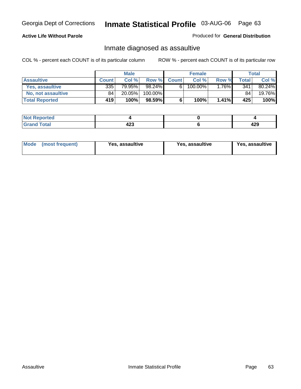### **Active Life Without Parole**

#### Produced for **General Distribution**

## Inmate diagnosed as assaultive

|                       |                  | <b>Male</b> |         |              | <b>Female</b> |          |              | Total  |
|-----------------------|------------------|-------------|---------|--------------|---------------|----------|--------------|--------|
| <b>Assaultive</b>     | <b>Count</b>     | Col %       | Row %   | <b>Count</b> | Col %         | Row %    | <b>Total</b> | Col %  |
| Yes, assaultive       | 335              | 79.95%      | 98.24%  | 6            | 100.00%       | 1.76%∎   | 341          | 80.24% |
| No. not assaultive    | 84               | 20.05%      | 100.00% |              |               |          | 84           | 19.76% |
| <b>Total Reported</b> | 419 <sup>1</sup> | 100%        | 98.59%  | 6            | 100%          | $1.41\%$ | 425          | 100%   |

| orted |             |          |
|-------|-------------|----------|
| Total | ,,,<br>י∡די | .<br>429 |

| <b>Mode</b><br>Yes, assaultive<br>↑ (most frequent) | Yes, assaultive | Yes, assaultive |
|-----------------------------------------------------|-----------------|-----------------|
|-----------------------------------------------------|-----------------|-----------------|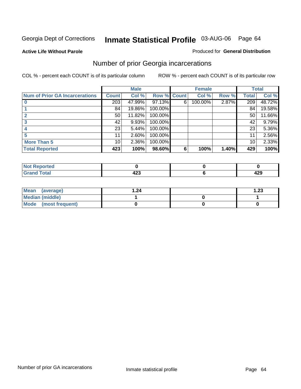#### **Active Life Without Parole**

#### Produced for **General Distribution**

## Number of prior Georgia incarcerations

|                                       |                 | <b>Male</b> |                    |   | <b>Female</b> |       |       | <b>Total</b> |
|---------------------------------------|-----------------|-------------|--------------------|---|---------------|-------|-------|--------------|
| <b>Num of Prior GA Incarcerations</b> | <b>Count</b>    | Col %       | <b>Row % Count</b> |   | Col %         | Row % | Total | Col %        |
|                                       | 203             | 47.99%      | 97.13%             | 6 | 100.00%       | 2.87% | 209   | 48.72%       |
|                                       | 84              | 19.86%      | 100.00%            |   |               |       | 84    | 19.58%       |
|                                       | 50 <sub>1</sub> | 11.82%      | 100.00%            |   |               |       | 50    | 11.66%       |
|                                       | 42              | 9.93%       | 100.00%            |   |               |       | 42    | 9.79%        |
|                                       | 23              | 5.44%       | 100.00%            |   |               |       | 23    | 5.36%        |
|                                       | 11              | 2.60%       | 100.00%            |   |               |       |       | 2.56%        |
| <b>More Than 5</b>                    | 10 <sup>1</sup> | 2.36%       | 100.00%            |   |               |       | 10    | 2.33%        |
| <b>Total Reported</b>                 | 423             | 100%        | 98.60%             | 6 | 100%          | 1.40% | 429   | 100%         |

| Reported<br>NOT                 |        |     |
|---------------------------------|--------|-----|
| <b>otal</b><br>$\mathbf{v}$ and | $\sim$ | 429 |

| Mean (average)       | 1.24 | 1.23 |
|----------------------|------|------|
| Median (middle)      |      |      |
| Mode (most frequent) |      |      |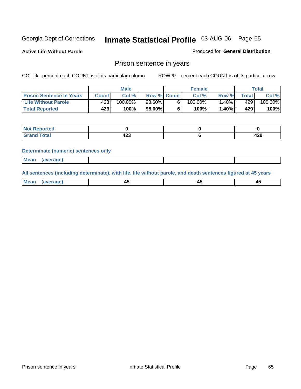**Active Life Without Parole** 

Produced for **General Distribution**

## Prison sentence in years

COL % - percent each COUNT is of its particular column ROW % - percent each COUNT is of its particular row

|                                 | Male   |         |                    | <b>Female</b> | Total |             |         |
|---------------------------------|--------|---------|--------------------|---------------|-------|-------------|---------|
| <b>Prison Sentence In Years</b> | Count⊺ | Col %   | <b>Row % Count</b> | Col %         | Row % | $\tau$ otal | Col %   |
| <b>Life Without Parole</b>      | 423'   | 100.00% | 98.60%             | $100.00\%$    | .40%  | 429         | 100.00% |
| <b>Total Reported</b>           | 423    | 100%    | 98.60%             | 100%          | 1.40% | 429'        | 100%    |

| Reported                                |             |            |
|-----------------------------------------|-------------|------------|
| <b>Total</b><br>Gra<br>$\mathbf{v}$ and | ה הו<br>-20 | A00<br>423 |

#### **Determinate (numeric) sentences only**

| <br>l Mear | <b><i><u>IPranet</u></i></b> |  |  |
|------------|------------------------------|--|--|

**All sentences (including determinate), with life, life without parole, and death sentences figured at 45 years**

| Me<br>98 V B<br>- -<br><del>.</del><br>$\sim$<br>__ | . .<br>$\sim$ |
|-----------------------------------------------------|---------------|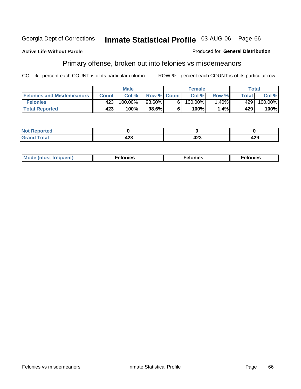#### **Active Life Without Parole**

#### Produced for **General Distribution**

## Primary offense, broken out into felonies vs misdemeanors

|                                  | <b>Male</b>  |         |                    |   | <b>Female</b> | $\mathsf{Total}$ |              |            |
|----------------------------------|--------------|---------|--------------------|---|---------------|------------------|--------------|------------|
| <b>Felonies and Misdemeanors</b> | <b>Count</b> | Col%    | <b>Row % Count</b> |   | Col%          | Row %            | <b>Total</b> | Col%       |
| <b>Felonies</b>                  | 423          | 100.00% | 98.60%             | 6 | $100.00\%$    | .40%             | 429          | $100.00\%$ |
| <b>Total Reported</b>            | 423          | 100%    | $98.6\%$           |   | 100%          | ا%1.             | 429          | 100%       |

| ted<br>NO<br>$\sim$ |                                  |            |     |
|---------------------|----------------------------------|------------|-----|
| --                  | $\overline{\phantom{a}}$<br>14 J | "^^<br>-23 | 429 |

| M <sub>0</sub><br>. | צאור<br>. | . |
|---------------------|-----------|---|
|---------------------|-----------|---|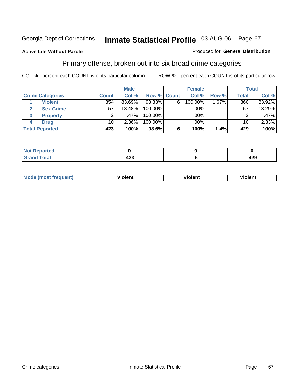#### **Active Life Without Parole**

#### Produced for **General Distribution**

## Primary offense, broken out into six broad crime categories

|                         | <b>Male</b>  |        |             | <b>Female</b> |         |        | Total           |         |  |
|-------------------------|--------------|--------|-------------|---------------|---------|--------|-----------------|---------|--|
| <b>Crime Categories</b> | <b>Count</b> | Col %  | Row % Count |               | Col %   | Row %  | <b>Total</b>    | Col %   |  |
| <b>Violent</b>          | 354          | 83.69% | 98.33%      | 6             | 100.00% | 1.67%┃ | 360             | 83.92%  |  |
| <b>Sex Crime</b><br>2   | 57           | 13.48% | $100.00\%$  |               | .00%    |        | 57              | 13.29%  |  |
| 3<br><b>Property</b>    | 2            | ا %47. | 100.00%     |               | .00%    |        |                 | $.47\%$ |  |
| <b>Drug</b><br>4        | 10           | 2.36%  | 100.00%     |               | .00%    |        | 10 <sup>1</sup> | 2.33%   |  |
| <b>Total Reported</b>   | 423          | 100%   | 98.6%       | 6             | 100%    | 1.4%   | 429             | 100%    |  |

| السائد المنا | ,,,<br>╍<br>$\sim$ | 429 |
|--------------|--------------------|-----|

| <b>Mode</b><br>frequent)<br>ns<br>$\cdots$ | - --<br><b>Tolent</b> | <br>Violent | --<br>Violent |
|--------------------------------------------|-----------------------|-------------|---------------|
|                                            |                       |             |               |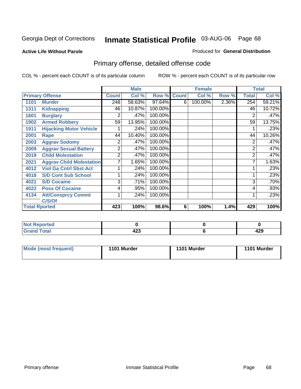#### **Active Life Without Parole**

#### Produced for **General Distribution**

# Primary offense, detailed offense code

|      |                                 |              | <b>Male</b> |             |   | <b>Female</b> |       |              | <b>Total</b> |
|------|---------------------------------|--------------|-------------|-------------|---|---------------|-------|--------------|--------------|
|      | <b>Primary Offense</b>          | <b>Count</b> | Col %       | Row % Count |   | Col %         | Row % | <b>Total</b> | Col %        |
| 1101 | <b>Murder</b>                   | 248          | 58.63%      | 97.64%      | 6 | 100.00%       | 2.36% | 254          | 59.21%       |
| 1311 | <b>Kidnapping</b>               | 46           | 10.87%      | 100.00%     |   |               |       | 46           | 10.72%       |
| 1601 | <b>Burglary</b>                 | 2            | .47%        | 100.00%     |   |               |       | 2            | .47%         |
| 1902 | <b>Armed Robbery</b>            | 59           | 13.95%      | 100.00%     |   |               |       | 59           | 13.75%       |
| 1911 | <b>Hijacking Motor Vehicle</b>  |              | .24%        | 100.00%     |   |               |       |              | .23%         |
| 2001 | Rape                            | 44           | 10.40%      | 100.00%     |   |               |       | 44           | 10.26%       |
| 2003 | <b>Aggrav Sodomy</b>            | 2            | .47%        | 100.00%     |   |               |       | 2            | .47%         |
| 2009 | <b>Aggrav Sexual Battery</b>    | 2            | .47%        | 100.00%     |   |               |       | 2            | .47%         |
| 2019 | <b>Child Molestation</b>        | 2            | .47%        | 100.00%     |   |               |       | 2            | .47%         |
| 2021 | <b>Aggrav Child Molestation</b> | 7            | 1.65%       | 100.00%     |   |               |       |              | 1.63%        |
| 4012 | <b>Viol Ga Cntrl Sbst Act</b>   |              | .24%        | 100.00%     |   |               |       |              | .23%         |
| 4018 | <b>S/D Cont Sub School</b>      |              | .24%        | 100.00%     |   |               |       |              | .23%         |
| 4021 | <b>S/D Cocaine</b>              | 3            | .71%        | 100.00%     |   |               |       | 3            | .70%         |
| 4022 | <b>Poss Of Cocaine</b>          | 4            | .95%        | 100.00%     |   |               |       | 4            | .93%         |
| 4134 | <b>Att/Consprcy Commt</b>       | 1            | .24%        | 100.00%     |   |               |       |              | .23%         |
|      | C/S/Of                          |              |             |             |   |               |       |              |              |
|      | <b>Total Rported</b>            | 423          | 100%        | 98.6%       | 6 | 100%          | 1.4%  | 429          | 100%         |

| <b>Reported</b>          |                                       |            |
|--------------------------|---------------------------------------|------------|
| <b>Total</b><br>$\sim$ . | $\overline{\phantom{a}}$<br>423<br>__ | ^^^<br>429 |

| Mode (most frequent) | 1101 Murder | 1101 Murder | 1101 Murder |
|----------------------|-------------|-------------|-------------|
|                      |             |             |             |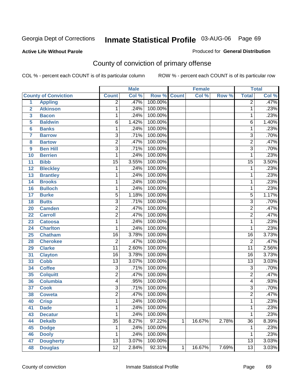**Active Life Without Parole** 

Produced for **General Distribution**

# County of conviction of primary offense

|                 |                             |                 | <b>Male</b> |                    |   | <b>Female</b> |       |                 | <b>Total</b> |
|-----------------|-----------------------------|-----------------|-------------|--------------------|---|---------------|-------|-----------------|--------------|
|                 | <b>County of Conviction</b> | <b>Count</b>    | Col %       | <b>Row % Count</b> |   | Col %         | Row % | <b>Total</b>    | Col %        |
| 1               | <b>Appling</b>              | $\overline{2}$  | .47%        | 100.00%            |   |               |       | $\overline{2}$  | .47%         |
| $\overline{2}$  | <b>Atkinson</b>             | 1               | .24%        | 100.00%            |   |               |       | 1               | .23%         |
| 3               | <b>Bacon</b>                | $\mathbf{1}$    | .24%        | 100.00%            |   |               |       | 1               | .23%         |
| 5               | <b>Baldwin</b>              | $\overline{6}$  | 1.42%       | 100.00%            |   |               |       | 6               | 1.40%        |
| 6               | <b>Banks</b>                | 1               | .24%        | 100.00%            |   |               |       | $\mathbf{1}$    | .23%         |
| $\overline{7}$  | <b>Barrow</b>               | 3               | .71%        | 100.00%            |   |               |       | $\overline{3}$  | .70%         |
| 8               | <b>Bartow</b>               | $\overline{2}$  | .47%        | 100.00%            |   |               |       | $\overline{2}$  | .47%         |
| 9               | <b>Ben Hill</b>             | $\overline{3}$  | .71%        | 100.00%            |   |               |       | $\overline{3}$  | .70%         |
| 10              | <b>Berrien</b>              | 1               | .24%        | 100.00%            |   |               |       | 1               | .23%         |
| 11              | <b>Bibb</b>                 | $\overline{15}$ | 3.55%       | 100.00%            |   |               |       | $\overline{15}$ | 3.50%        |
| 12              | <b>Bleckley</b>             | 1               | .24%        | 100.00%            |   |               |       | 1               | .23%         |
| 13              | <b>Brantley</b>             | 1               | .24%        | 100.00%            |   |               |       | 1               | .23%         |
| $\overline{14}$ | <b>Brooks</b>               | 1               | .24%        | 100.00%            |   |               |       | 1               | .23%         |
| 16              | <b>Bulloch</b>              | 1               | .24%        | 100.00%            |   |               |       | 1               | .23%         |
| 17              | <b>Burke</b>                | $\overline{5}$  | 1.18%       | 100.00%            |   |               |       | $\overline{5}$  | 1.17%        |
| 18              | <b>Butts</b>                | $\overline{3}$  | .71%        | 100.00%            |   |               |       | $\overline{3}$  | .70%         |
| 20              | <b>Camden</b>               | $\overline{2}$  | .47%        | 100.00%            |   |               |       | $\overline{2}$  | .47%         |
| 22              | <b>Carroll</b>              | $\overline{2}$  | .47%        | 100.00%            |   |               |       | $\overline{2}$  | .47%         |
| 23              | <b>Catoosa</b>              | 1               | .24%        | 100.00%            |   |               |       | 1               | .23%         |
| 24              | <b>Charlton</b>             | 1               | .24%        | 100.00%            |   |               |       | 1               | .23%         |
| 25              | <b>Chatham</b>              | $\overline{16}$ | 3.78%       | 100.00%            |   |               |       | $\overline{16}$ | 3.73%        |
| 28              | <b>Cherokee</b>             | $\overline{2}$  | .47%        | 100.00%            |   |               |       | $\overline{2}$  | .47%         |
| 29              | <b>Clarke</b>               | $\overline{11}$ | 2.60%       | 100.00%            |   |               |       | $\overline{11}$ | 2.56%        |
| 31              | <b>Clayton</b>              | 16              | 3.78%       | 100.00%            |   |               |       | 16              | 3.73%        |
| 33              | Cobb                        | $\overline{13}$ | 3.07%       | 100.00%            |   |               |       | $\overline{13}$ | 3.03%        |
| 34              | <b>Coffee</b>               | 3               | .71%        | 100.00%            |   |               |       | 3               | .70%         |
| 35              | <b>Colquitt</b>             | $\overline{2}$  | .47%        | 100.00%            |   |               |       | $\overline{2}$  | .47%         |
| 36              | <b>Columbia</b>             | 4               | .95%        | 100.00%            |   |               |       | 4               | .93%         |
| 37              | <b>Cook</b>                 | $\overline{3}$  | .71%        | 100.00%            |   |               |       | $\overline{3}$  | .70%         |
| 38              | <b>Coweta</b>               | $\overline{2}$  | .47%        | 100.00%            |   |               |       | $\overline{2}$  | .47%         |
| 40              | <b>Crisp</b>                | 1               | .24%        | 100.00%            |   |               |       | 1               | .23%         |
| 41              | <b>Dade</b>                 | 1               | .24%        | 100.00%            |   |               |       | 1               | .23%         |
| 43              | <b>Decatur</b>              | $\overline{1}$  | .24%        | 100.00%            |   |               |       | 1               | .23%         |
| 44              | <b>Dekalb</b>               | $\overline{35}$ | 8.27%       | 97.22%             | 1 | 16.67%        | 2.78% | $\overline{36}$ | 8.39%        |
| 45              | <b>Dodge</b>                | 1               | .24%        | 100.00%            |   |               |       | 1               | .23%         |
| 46              | <b>Dooly</b>                | 1               | .24%        | 100.00%            |   |               |       | 1               | .23%         |
| 47              | <b>Dougherty</b>            | $\overline{13}$ | 3.07%       | 100.00%            |   |               |       | $\overline{13}$ | 3.03%        |
| 48              | <b>Douglas</b>              | 12              | 2.84%       | 92.31%             | 1 | 16.67%        | 7.69% | $\overline{13}$ | 3.03%        |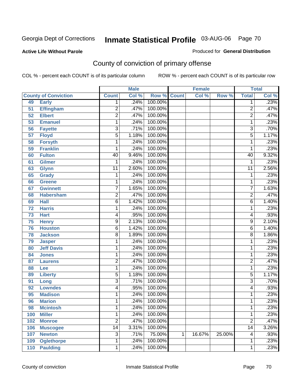#### **Active Life Without Parole**

#### Produced for **General Distribution**

# County of conviction of primary offense

|     |                             |                 | <b>Male</b> |                    |   | <b>Female</b> |        |                 | <b>Total</b> |
|-----|-----------------------------|-----------------|-------------|--------------------|---|---------------|--------|-----------------|--------------|
|     | <b>County of Conviction</b> | <b>Count</b>    | Col %       | <b>Row % Count</b> |   | Col %         | Row %  | <b>Total</b>    | Col %        |
| 49  | <b>Early</b>                | 1               | .24%        | 100.00%            |   |               |        | 1               | .23%         |
| 51  | <b>Effingham</b>            | $\overline{2}$  | .47%        | 100.00%            |   |               |        | $\overline{2}$  | .47%         |
| 52  | <b>Elbert</b>               | $\overline{2}$  | .47%        | 100.00%            |   |               |        | $\overline{2}$  | .47%         |
| 53  | <b>Emanuel</b>              | 1               | .24%        | 100.00%            |   |               |        | 1               | .23%         |
| 56  | <b>Fayette</b>              | $\overline{3}$  | .71%        | 100.00%            |   |               |        | 3               | .70%         |
| 57  | <b>Floyd</b>                | $\overline{5}$  | 1.18%       | 100.00%            |   |               |        | $\overline{5}$  | 1.17%        |
| 58  | <b>Forsyth</b>              | 1               | .24%        | 100.00%            |   |               |        | 1               | .23%         |
| 59  | <b>Franklin</b>             | 1               | .24%        | 100.00%            |   |               |        | 1               | .23%         |
| 60  | <b>Fulton</b>               | 40              | 9.46%       | 100.00%            |   |               |        | 40              | 9.32%        |
| 61  | <b>Gilmer</b>               | 1               | .24%        | 100.00%            |   |               |        | 1               | .23%         |
| 63  | <b>Glynn</b>                | $\overline{11}$ | 2.60%       | 100.00%            |   |               |        | $\overline{11}$ | 2.56%        |
| 65  | <b>Grady</b>                | 1               | .24%        | 100.00%            |   |               |        | 1               | .23%         |
| 66  | Greene                      | 1               | .24%        | 100.00%            |   |               |        | 1               | .23%         |
| 67  | <b>Gwinnett</b>             | 7               | 1.65%       | 100.00%            |   |               |        | $\overline{7}$  | 1.63%        |
| 68  | <b>Habersham</b>            | $\overline{2}$  | .47%        | 100.00%            |   |               |        | $\overline{2}$  | .47%         |
| 69  | <b>Hall</b>                 | $\overline{6}$  | 1.42%       | 100.00%            |   |               |        | 6               | 1.40%        |
| 72  | <b>Harris</b>               | 1               | .24%        | 100.00%            |   |               |        | 1               | .23%         |
| 73  | <b>Hart</b>                 | 4               | .95%        | 100.00%            |   |               |        | 4               | .93%         |
| 75  | <b>Henry</b>                | 9               | 2.13%       | 100.00%            |   |               |        | 9               | 2.10%        |
| 76  | <b>Houston</b>              | $\overline{6}$  | 1.42%       | 100.00%            |   |               |        | 6               | 1.40%        |
| 78  | <b>Jackson</b>              | 8               | 1.89%       | 100.00%            |   |               |        | 8               | 1.86%        |
| 79  | <b>Jasper</b>               | 1               | .24%        | 100.00%            |   |               |        | 1               | .23%         |
| 80  | <b>Jeff Davis</b>           | 1               | .24%        | 100.00%            |   |               |        | 1               | .23%         |
| 84  | <b>Jones</b>                | 1               | .24%        | 100.00%            |   |               |        | 1               | .23%         |
| 87  | <b>Laurens</b>              | $\overline{2}$  | .47%        | 100.00%            |   |               |        | 2               | .47%         |
| 88  | Lee                         | 1               | .24%        | 100.00%            |   |               |        | 1               | .23%         |
| 89  | <b>Liberty</b>              | $\overline{5}$  | 1.18%       | 100.00%            |   |               |        | 5               | 1.17%        |
| 91  | Long                        | $\overline{3}$  | .71%        | 100.00%            |   |               |        | $\overline{3}$  | .70%         |
| 92  | <b>Lowndes</b>              | 4               | .95%        | 100.00%            |   |               |        | 4               | .93%         |
| 95  | <b>Madison</b>              | 1               | .24%        | 100.00%            |   |               |        | 1               | .23%         |
| 96  | <b>Marion</b>               | 1               | .24%        | 100.00%            |   |               |        | 1               | .23%         |
| 98  | <b>Mcintosh</b>             | 1               |             | .24% 100.00%       |   |               |        | 1               | .23%         |
| 100 | <b>Miller</b>               | 1               | .24%        | 100.00%            |   |               |        | 1               | .23%         |
| 102 | <b>Monroe</b>               | $\overline{2}$  | .47%        | 100.00%            |   |               |        | $\overline{2}$  | .47%         |
| 106 | <b>Muscogee</b>             | $\overline{14}$ | 3.31%       | 100.00%            |   |               |        | $\overline{14}$ | 3.26%        |
| 107 | <b>Newton</b>               | $\overline{3}$  | .71%        | 75.00%             | 1 | 16.67%        | 25.00% | 4               | .93%         |
| 109 | <b>Oglethorpe</b>           | 1               | .24%        | 100.00%            |   |               |        | 1               | .23%         |
| 110 | <b>Paulding</b>             | $\mathbf{1}$    | .24%        | 100.00%            |   |               |        | 1               | .23%         |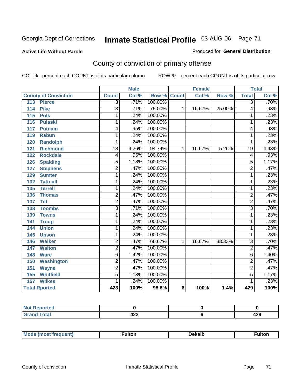#### **Active Life Without Parole**

#### Produced for **General Distribution**

# County of conviction of primary offense

|                                     | <b>Male</b>     |       |                    | <b>Female</b> |        |        | <b>Total</b>    |       |
|-------------------------------------|-----------------|-------|--------------------|---------------|--------|--------|-----------------|-------|
| <b>County of Conviction</b>         | <b>Count</b>    | Col % | <b>Row % Count</b> |               | Col %  | Row %  | <b>Total</b>    | Col % |
| 113<br><b>Pierce</b>                | $\overline{3}$  | .71%  | 100.00%            |               |        |        | 3               | .70%  |
| <b>Pike</b><br>114                  | $\overline{3}$  | .71%  | 75.00%             | 1             | 16.67% | 25.00% | 4               | .93%  |
| $\overline{115}$<br><b>Polk</b>     | 1               | .24%  | 100.00%            |               |        |        | 1               | .23%  |
| <b>Pulaski</b><br>116               | 1               | .24%  | 100.00%            |               |        |        | 1               | .23%  |
| 117<br>Putnam                       | 4               | .95%  | 100.00%            |               |        |        | 4               | .93%  |
| <b>Rabun</b><br>119                 | 1               | .24%  | 100.00%            |               |        |        | 1               | .23%  |
| 120<br><b>Randolph</b>              | 1               | .24%  | 100.00%            |               |        |        | 1               | .23%  |
| <b>Richmond</b><br>121              | $\overline{18}$ | 4.26% | 94.74%             | 1             | 16.67% | 5.26%  | $\overline{19}$ | 4.43% |
| <b>Rockdale</b><br>122              | 4               | .95%  | 100.00%            |               |        |        | 4               | .93%  |
| <b>Spalding</b><br>126              | 5               | 1.18% | 100.00%            |               |        |        | 5               | 1.17% |
| <b>Stephens</b><br>127              | $\overline{2}$  | .47%  | 100.00%            |               |        |        | $\overline{2}$  | .47%  |
| <b>Sumter</b><br>129                | 1               | .24%  | 100.00%            |               |        |        | 1               | .23%  |
| $\overline{132}$<br><b>Tattnall</b> | 1               | .24%  | 100.00%            |               |        |        | 1               | .23%  |
| <b>Terrell</b><br>135               | 1               | .24%  | 100.00%            |               |        |        | 1               | .23%  |
| <b>Thomas</b><br>136                | 2               | .47%  | 100.00%            |               |        |        | $\overline{2}$  | .47%  |
| <b>Tift</b><br>137                  | $\overline{2}$  | .47%  | 100.00%            |               |        |        | $\overline{2}$  | .47%  |
| <b>Toombs</b><br>138                | $\overline{3}$  | .71%  | 100.00%            |               |        |        | $\overline{3}$  | .70%  |
| 139<br><b>Towns</b>                 | 1               | .24%  | 100.00%            |               |        |        | 1               | .23%  |
| 141<br><b>Troup</b>                 | 1               | .24%  | 100.00%            |               |        |        | 1               | .23%  |
| 144<br><b>Union</b>                 | 1               | .24%  | 100.00%            |               |        |        | 1               | .23%  |
| 145<br><b>Upson</b>                 | 1               | .24%  | 100.00%            |               |        |        | 1               | .23%  |
| <b>Walker</b><br>146                | $\overline{2}$  | .47%  | 66.67%             | 1             | 16.67% | 33.33% | $\overline{3}$  | .70%  |
| 147<br><b>Walton</b>                | $\overline{2}$  | .47%  | 100.00%            |               |        |        | $\overline{2}$  | .47%  |
| 148<br><b>Ware</b>                  | $\overline{6}$  | 1.42% | 100.00%            |               |        |        | $\overline{6}$  | 1.40% |
| <b>Washington</b><br>150            | $\overline{2}$  | .47%  | 100.00%            |               |        |        | $\overline{2}$  | .47%  |
| 151<br><b>Wayne</b>                 | $\overline{2}$  | .47%  | 100.00%            |               |        |        | $\overline{2}$  | .47%  |
| <b>Whitfield</b><br>155             | $\overline{5}$  | 1.18% | 100.00%            |               |        |        | $\overline{5}$  | 1.17% |
| <b>Wilkes</b><br>157                | 1               | .24%  | 100.00%            |               |        |        | 1               | .23%  |
| <b>Total Rported</b>                | 423             | 100%  | 98.6%              | 6             | 100%   | 1.4%   | 429             | 100%  |

| eported<br>N |     |     |
|--------------|-----|-----|
| int          | ,,, | 106 |
| _____        | 425 | 429 |

| M |  | ۱۵۷۵۱۰ ـ | ultr |  |
|---|--|----------|------|--|
|   |  |          |      |  |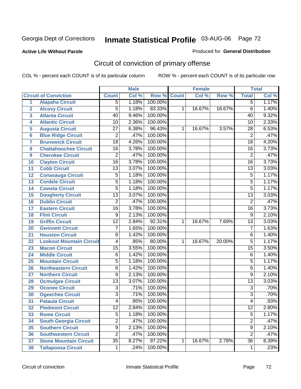### **Active Life Without Parole**

#### Produced for **General Distribution**

# Circuit of conviction of primary offense

|                 |                                 | <b>Male</b>     |       | <b>Female</b> |              |        | <b>Total</b> |                 |       |
|-----------------|---------------------------------|-----------------|-------|---------------|--------------|--------|--------------|-----------------|-------|
|                 | <b>Circuit of Conviction</b>    | <b>Count</b>    | Col % | Row %         | <b>Count</b> | Col %  | Row %        | <b>Total</b>    | Col % |
| 1               | <b>Alapaha Circuit</b>          | $\overline{5}$  | 1.18% | 100.00%       |              |        |              | 5               | 1.17% |
| $\overline{2}$  | <b>Alcovy Circuit</b>           | $\overline{5}$  | 1.18% | 83.33%        | 1            | 16.67% | 16.67%       | 6               | 1.40% |
| 3               | <b>Atlanta Circuit</b>          | 40              | 9.46% | 100.00%       |              |        |              | 40              | 9.32% |
| 4               | <b>Atlantic Circuit</b>         | 10              | 2.36% | 100.00%       |              |        |              | 10              | 2.33% |
| 5               | <b>Augusta Circuit</b>          | $\overline{27}$ | 6.38% | 96.43%        | 1            | 16.67% | 3.57%        | $\overline{28}$ | 6.53% |
| $6\phantom{a}$  | <b>Blue Ridge Circuit</b>       | $\overline{2}$  | .47%  | 100.00%       |              |        |              | $\overline{2}$  | .47%  |
| $\overline{7}$  | <b>Brunswick Circuit</b>        | $\overline{18}$ | 4.26% | 100.00%       |              |        |              | $\overline{18}$ | 4.20% |
| 8               | <b>Chattahoochee Circuit</b>    | $\overline{16}$ | 3.78% | 100.00%       |              |        |              | $\overline{16}$ | 3.73% |
| 9               | <b>Cherokee Circuit</b>         | $\overline{2}$  | .47%  | 100.00%       |              |        |              | $\overline{2}$  | .47%  |
| 10              | <b>Clayton Circuit</b>          | $\overline{16}$ | 3.78% | 100.00%       |              |        |              | $\overline{16}$ | 3.73% |
| 11              | <b>Cobb Circuit</b>             | $\overline{13}$ | 3.07% | 100.00%       |              |        |              | $\overline{13}$ | 3.03% |
| 12              | <b>Conasauga Circuit</b>        | $\overline{5}$  | 1.18% | 100.00%       |              |        |              | 5               | 1.17% |
| 13              | <b>Cordele Circuit</b>          | $\overline{5}$  | 1.18% | 100.00%       |              |        |              | $\overline{5}$  | 1.17% |
| 14              | <b>Coweta Circuit</b>           | $\overline{5}$  | 1.18% | 100.00%       |              |        |              | $\overline{5}$  | 1.17% |
| 15              | <b>Dougherty Circuit</b>        | $\overline{13}$ | 3.07% | 100.00%       |              |        |              | $\overline{13}$ | 3.03% |
| 16              | <b>Dublin Circuit</b>           | $\overline{2}$  | .47%  | 100.00%       |              |        |              | $\overline{2}$  | .47%  |
| 17              | <b>Eastern Circuit</b>          | $\overline{16}$ | 3.78% | 100.00%       |              |        |              | 16              | 3.73% |
| 18              | <b>Flint Circuit</b>            | $\overline{9}$  | 2.13% | 100.00%       |              |        |              | $\overline{9}$  | 2.10% |
| 19              | <b>Griffin Circuit</b>          | $\overline{12}$ | 2.84% | 92.31%        | $\mathbf{1}$ | 16.67% | 7.69%        | $\overline{13}$ | 3.03% |
| 20              | <b>Gwinnett Circuit</b>         | $\overline{7}$  | 1.65% | 100.00%       |              |        |              | $\overline{7}$  | 1.63% |
| 21              | <b>Houston Circuit</b>          | 6               | 1.42% | 100.00%       |              |        |              | $\overline{6}$  | 1.40% |
| 22              | <b>Lookout Mountain Circuit</b> | 4               | .95%  | 80.00%        | 1            | 16.67% | 20.00%       | $\overline{5}$  | 1.17% |
| 23              | <b>Macon Circuit</b>            | $\overline{15}$ | 3.55% | 100.00%       |              |        |              | $\overline{15}$ | 3.50% |
| 24              | <b>Middle Circuit</b>           | $\overline{6}$  | 1.42% | 100.00%       |              |        |              | 6               | 1.40% |
| 25              | <b>Mountain Circuit</b>         | $\overline{5}$  | 1.18% | 100.00%       |              |        |              | 5               | 1.17% |
| 26              | <b>Northeastern Circuit</b>     | 6               | 1.42% | 100.00%       |              |        |              | 6               | 1.40% |
| 27              | <b>Northern Circuit</b>         | 9               | 2.13% | 100.00%       |              |        |              | 9               | 2.10% |
| 28              | <b>Ocmulgee Circuit</b>         | $\overline{13}$ | 3.07% | 100.00%       |              |        |              | $\overline{13}$ | 3.03% |
| 29              | <b>Oconee Circuit</b>           | $\overline{3}$  | .71%  | 100.00%       |              |        |              | $\overline{3}$  | .70%  |
| 30              | <b>Ogeechee Circuit</b>         | $\overline{3}$  | .71%  | 100.00%       |              |        |              | $\overline{3}$  | .70%  |
| $\overline{31}$ | <b>Pataula Circuit</b>          | 4               | .95%  | 100.00%       |              |        |              | 4               | .93%  |
| 32              | <b>Piedmont Circuit</b>         | 12              | 2.84% | 100.00%       |              |        |              | 12              | 2.80% |
| 33              | <b>Rome Circuit</b>             | $\overline{5}$  | 1.18% | 100.00%       |              |        |              | $\overline{5}$  | 1.17% |
| 34              | <b>South Georgia Circuit</b>    | $\overline{2}$  | .47%  | 100.00%       |              |        |              | $\overline{2}$  | .47%  |
| 35              | <b>Southern Circuit</b>         | $\overline{9}$  | 2.13% | 100.00%       |              |        |              | $\overline{9}$  | 2.10% |
| 36              | <b>Southwestern Circuit</b>     | $\overline{2}$  | .47%  | 100.00%       |              |        |              | $\overline{2}$  | .47%  |
| 37              | <b>Stone Mountain Circuit</b>   | $\overline{35}$ | 8.27% | 97.22%        | 1            | 16.67% | 2.78%        | $\overline{36}$ | 8.39% |
| 38              | <b>Tallapoosa Circuit</b>       | $\mathbf 1$     | .24%  | 100.00%       |              |        |              | 1               | .23%  |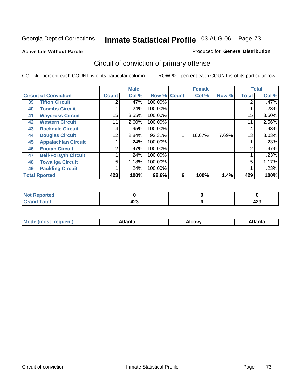**Active Life Without Parole** 

#### Produced for **General Distribution**

# Circuit of conviction of primary offense

|    |                              |              | <b>Male</b> |         |              | <b>Female</b> |       |              | <b>Total</b> |
|----|------------------------------|--------------|-------------|---------|--------------|---------------|-------|--------------|--------------|
|    | <b>Circuit of Conviction</b> | <b>Count</b> | Col %       | Row %   | <b>Count</b> | Col %         | Row % | <b>Total</b> | Col %        |
| 39 | <b>Tifton Circuit</b>        | 2            | .47%        | 100.00% |              |               |       |              | .47%         |
| 40 | <b>Toombs Circuit</b>        |              | .24%        | 100.00% |              |               |       |              | .23%         |
| 41 | <b>Waycross Circuit</b>      | 15           | 3.55%       | 100.00% |              |               |       | 15           | 3.50%        |
| 42 | <b>Western Circuit</b>       | 11           | 2.60%       | 100.00% |              |               |       | 11           | 2.56%        |
| 43 | <b>Rockdale Circuit</b>      | 4            | .95%        | 100.00% |              |               |       | 4            | .93%         |
| 44 | <b>Douglas Circuit</b>       | 12           | 2.84%       | 92.31%  |              | 16.67%        | 7.69% | 13           | 3.03%        |
| 45 | <b>Appalachian Circuit</b>   |              | .24%        | 100.00% |              |               |       |              | .23%         |
| 46 | <b>Enotah Circuit</b>        | 2            | .47%        | 100.00% |              |               |       | 2            | .47%         |
| 47 | <b>Bell-Forsyth Circuit</b>  |              | .24%        | 100.00% |              |               |       |              | .23%         |
| 48 | <b>Towaliga Circuit</b>      | 5            | 1.18%       | 100.00% |              |               |       | 5            | 1.17%        |
| 49 | <b>Paulding Circuit</b>      |              | .24%        | 100.00% |              |               |       |              | .23%         |
|    | <b>Total Rported</b>         | 423          | 100%        | 98.6%   | 6            | 100%          | 1.4%  | 429          | 100%         |

| <b>Reported</b><br>'NI 6 |            |     |
|--------------------------|------------|-----|
| <b>otal</b>              | $\sqrt{2}$ | יים |
| $\mathbf{v}$ and         | 42J        | 42J |

| Mc<br>.+Inn+,<br>.<br>ำ∨∿<br>''Ilta<br>idlik<br><b>ALIE</b><br>$ -$ |  |  |
|---------------------------------------------------------------------|--|--|
|                                                                     |  |  |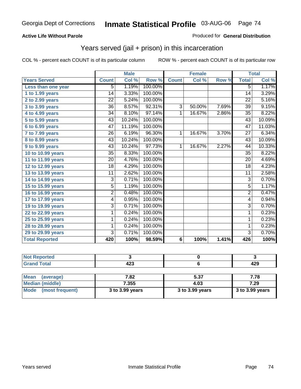#### **Active Life Without Parole**

#### Produced for **General Distribution**

## Years served (jail + prison) in this incarceration

|                              |                 | <b>Male</b> |         |                | <b>Female</b> |       |                 | <b>Total</b> |
|------------------------------|-----------------|-------------|---------|----------------|---------------|-------|-----------------|--------------|
| <b>Years Served</b>          | <b>Count</b>    | Col %       | Row %   | <b>Count</b>   | Col %         | Row % | <b>Total</b>    | Col %        |
| Less than one year           | 5               | 1.19%       | 100.00% |                |               |       | 5               | 1.17%        |
| 1 to 1.99 years              | $\overline{14}$ | 3.33%       | 100.00% |                |               |       | $\overline{14}$ | 3.29%        |
| 2 to 2.99 years              | $\overline{22}$ | 5.24%       | 100.00% |                |               |       | $\overline{22}$ | 5.16%        |
| $3$ to $3.99$ years          | $\overline{36}$ | 8.57%       | 92.31%  | 3              | 50.00%        | 7.69% | 39              | 9.15%        |
| 4 to 4.99 years              | 34              | 8.10%       | 97.14%  | $\mathbf{1}$   | 16.67%        | 2.86% | 35              | 8.22%        |
| 5 to 5.99 years              | 43              | 10.24%      | 100.00% |                |               |       | 43              | 10.09%       |
| 6 to 6.99 years              | 47              | 11.19%      | 100.00% |                |               |       | 47              | 11.03%       |
| $\overline{7}$ to 7.99 years | $\overline{26}$ | 6.19%       | 96.30%  | 1              | 16.67%        | 3.70% | $\overline{27}$ | 6.34%        |
| 8 to 8.99 years              | 43              | 10.24%      | 100.00% |                |               |       | 43              | 10.09%       |
| 9 to 9.99 years              | 43              | 10.24%      | 97.73%  | $\mathbf{1}$   | 16.67%        | 2.27% | 44              | 10.33%       |
| 10 to 10.99 years            | $\overline{35}$ | 8.33%       | 100.00% |                |               |       | $\overline{35}$ | 8.22%        |
| 11 to 11.99 years            | $\overline{20}$ | 4.76%       | 100.00% |                |               |       | 20              | 4.69%        |
| 12 to 12.99 years            | 18              | 4.29%       | 100.00% |                |               |       | 18              | 4.23%        |
| 13 to 13.99 years            | 11              | 2.62%       | 100.00% |                |               |       | 11              | 2.58%        |
| 14 to 14.99 years            | 3               | 0.71%       | 100.00% |                |               |       | 3               | 0.70%        |
| 15 to 15.99 years            | $\overline{5}$  | 1.19%       | 100.00% |                |               |       | $\overline{5}$  | 1.17%        |
| 16 to 16.99 years            | $\overline{2}$  | 0.48%       | 100.00% |                |               |       | $\overline{2}$  | 0.47%        |
| 17 to 17.99 years            | 4               | 0.95%       | 100.00% |                |               |       | 4               | 0.94%        |
| 19 to 19.99 years            | 3               | 0.71%       | 100.00% |                |               |       | $\overline{3}$  | 0.70%        |
| 22 to 22.99 years            | 1               | 0.24%       | 100.00% |                |               |       | 1               | 0.23%        |
| 25 to 25.99 years            | 1               | 0.24%       | 100.00% |                |               |       | 1               | 0.23%        |
| 28 to 28.99 years            | 1               | 0.24%       | 100.00% |                |               |       | 1               | 0.23%        |
| 29 to 29.99 years            | 3               | 0.71%       | 100.00% |                |               |       | $\overline{3}$  | 0.70%        |
| <b>Total Reported</b>        | 420             | 100%        | 98.59%  | $6\phantom{1}$ | 100%          | 1.41% | 426             | 100%         |

| <b>Not Reported</b> |            |     |
|---------------------|------------|-----|
| <b>Grand Total</b>  | ده.<br>443 | 429 |
|                     |            |     |

| Mean (average)       | 7.82            | 5.37            | 7.78            |
|----------------------|-----------------|-----------------|-----------------|
| Median (middle)      | 7.355           | 4.03            | 7.29            |
| Mode (most frequent) | 3 to 3.99 years | 3 to 3.99 years | 3 to 3.99 years |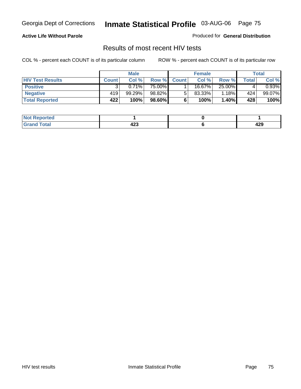### **Active Life Without Parole**

Produced for **General Distribution**

## Results of most recent HIV tests

|                         |              | <b>Male</b> |        |              | <b>Female</b> |        |       | Total    |
|-------------------------|--------------|-------------|--------|--------------|---------------|--------|-------|----------|
| <b>HIV Test Results</b> | <b>Count</b> | Col %       | Row %  | <b>Count</b> | Col %         | Row %  | Total | Col %    |
| <b>Positive</b>         |              | 0.71%       | 75.00% |              | 16.67%        | 25.00% |       | $0.93\%$ |
| <b>Negative</b>         | 419'         | 99.29%      | 98.82% |              | 83.33%        | 1.18%  | 424   | 99.07%   |
| <b>Total Reported</b>   | 422          | 100%        | 98.60% |              | 100%          | 1.40%  | 428   | 100%     |

| <b>Not Reported</b> |         |          |
|---------------------|---------|----------|
| <b>Total</b>        | <br>443 | ,<br>429 |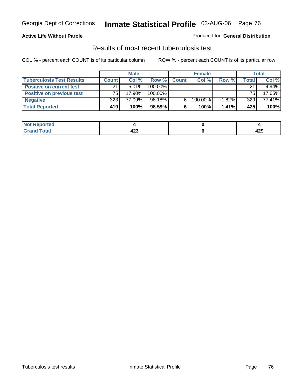### **Active Life Without Parole**

#### Produced for **General Distribution**

## Results of most recent tuberculosis test

|                                  |              | <b>Male</b> |         |              | <b>Female</b> |          |       | Total    |
|----------------------------------|--------------|-------------|---------|--------------|---------------|----------|-------|----------|
| <b>Tuberculosis Test Results</b> | <b>Count</b> | Col%        | Row %   | <b>Count</b> | Col%          | Row %    | Total | Col %    |
| <b>Positive on current test</b>  | 21           | $5.01\%$    | 100.00% |              |               |          | 21    | $4.94\%$ |
| <b>Positive on previous test</b> | 75           | 17.90%      | 100.00% |              |               |          | 75    | 17.65%   |
| <b>Negative</b>                  | 323          | 77.09%      | 98.18%  | 6            | 100.00%       | 1.82%    | 329   | 77.41%   |
| <b>Total Reported</b>            | 419          | 100%        | 98.59%  | 6            | 100%          | $1.41\%$ | 425   | 100%     |

| <b>Not</b><br><b>Reported</b> |            |            |
|-------------------------------|------------|------------|
| <b>Total</b>                  | 100<br>423 | 0 מ<br>44J |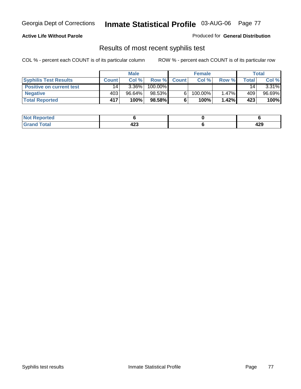### **Active Life Without Parole**

Produced for **General Distribution**

## Results of most recent syphilis test

|                                 |       | <b>Male</b> |         |              | <b>Female</b> |          |              | Total  |
|---------------------------------|-------|-------------|---------|--------------|---------------|----------|--------------|--------|
| <b>Syphilis Test Results</b>    | Count | Col%        | Row %   | <b>Count</b> | Col%          | Row %    | <b>Total</b> | Col %  |
| <b>Positive on current test</b> | 14    | $3.36\%$    | 100.00% |              |               |          | 14           | 3.31%  |
| <b>Negative</b>                 | 403'  | 96.64%      | 98.53%  |              | 100.00%       | $1.47\%$ | 409          | 96.69% |
| <b>Total Reported</b>           | 417   | 100%        | 98.58%  |              | 100%          | 1.42%    | 423          | 100%   |

| <b>Not Reported</b> |         |            |
|---------------------|---------|------------|
| <b>Total</b>        | <br>42J | 100<br>443 |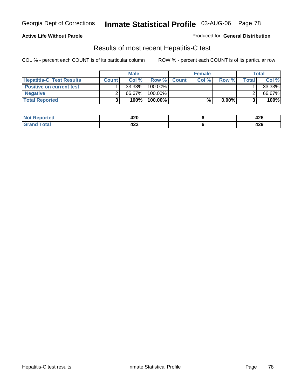### **Active Life Without Parole**

Produced for **General Distribution**

## Results of most recent Hepatitis-C test

|                                 |              | <b>Male</b> |         |             | <b>Female</b> |          |       | <b>Total</b> |
|---------------------------------|--------------|-------------|---------|-------------|---------------|----------|-------|--------------|
| <b>Hepatitis-C Test Results</b> | <b>Count</b> | Col%        |         | Row % Count | Col %         | Row %    | Total | Col %        |
| <b>Positive on current test</b> |              | 33.33%      | 100.00% |             |               |          |       | 33.33%       |
| <b>Negative</b>                 |              | 66.67%      | 100.00% |             |               |          |       | 66.67%       |
| <b>Total Reported</b>           |              | 100%        | 100.00% |             | %             | $0.00\%$ |       | 100%         |

| <b>Not</b><br>Reported | 420     | <br>44 U |
|------------------------|---------|----------|
| <b>Total</b>           | <br>42J | 429      |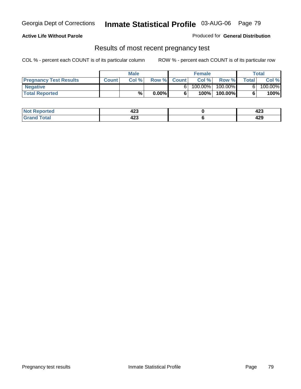### **Active Life Without Parole**

Produced for **General Distribution**

### Results of most recent pregnancy test

|                               | <b>Male</b>  |      |          | <b>Female</b> |         |         | <b>Total</b> |         |
|-------------------------------|--------------|------|----------|---------------|---------|---------|--------------|---------|
| <b>Pregnancy Test Results</b> | <b>Count</b> | Col% | Row %    | <b>Count</b>  | Col %   | Row %   | <b>Total</b> | Col %   |
| <b>Negative</b>               |              |      |          |               | 100.00% | 100.00% |              | 100.00% |
| <b>Total Reported</b>         |              | %    | $0.00\%$ |               | 100%    | 100.00% |              | 100%    |

| Not F        |     | ,   |
|--------------|-----|-----|
| Reported     | 423 | 443 |
| <b>Total</b> |     | 100 |
| l Grand      | 423 | 443 |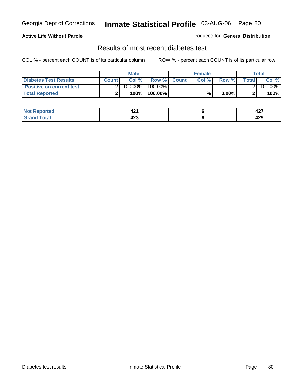### **Active Life Without Parole**

#### Produced for **General Distribution**

## Results of most recent diabetes test

|                                 |              | <b>Male</b> |            |             | <b>Female</b> |          |        | Total   |
|---------------------------------|--------------|-------------|------------|-------------|---------------|----------|--------|---------|
| <b>Diabetes Test Results</b>    | <b>Count</b> | Col %       |            | Row % Count | Col%          | Row %    | Totall | Col %   |
| <b>Positive on current test</b> |              | 100.00%     | $100.00\%$ |             |               |          |        | 100.00% |
| <b>Total Reported</b>           |              | 100%        | 100.00%    |             | %.            | $0.00\%$ |        | 100%    |

| ਾted        | ю.<br>44 L | 107<br>74 L |
|-------------|------------|-------------|
| <b>otal</b> | "^         | 100         |
| _____       | 449        | 443         |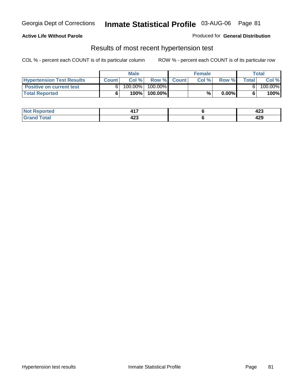#### **Active Life Without Parole**

#### Produced for **General Distribution**

### Results of most recent hypertension test

|                                  |              | <b>Male</b> |            |             | <b>Female</b> |          |       | <b>Total</b> |
|----------------------------------|--------------|-------------|------------|-------------|---------------|----------|-------|--------------|
| <b>Hypertension Test Results</b> | <b>Count</b> | Col %       |            | Row % Count | Col%          | Row %    | Total | Col %        |
| <b>Positive on current test</b>  |              | 100.00%     | $100.00\%$ |             |               |          |       | 100.00%      |
| <b>Total Reported</b>            |              | 100%        | 100.00%    |             | %             | $0.00\%$ |       | 100%         |

| <b>eported</b> |     | <br>443 |
|----------------|-----|---------|
| <b>otal</b>    | "^  | 100     |
| _____          | 429 | 443     |